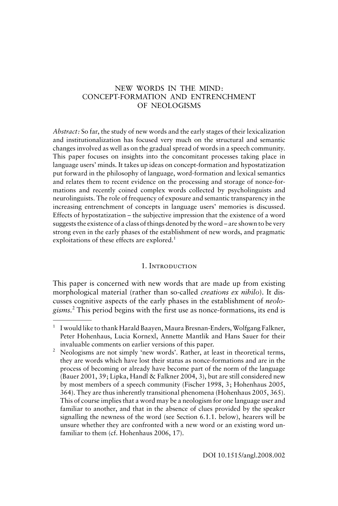# NEW WORDS IN THE MIND: CONCEPT-FORMATION AND ENTRENCHMENT OF NEOLOGISMS

Abstract: So far, the study of new words and the early stages of their lexicalization and institutionalization has focused very much on the structural and semantic changes involved as well as on the gradual spread of words in a speech community. This paper focuses on insights into the concomitant processes taking place in language users' minds. It takes up ideas on concept-formation and hypostatization put forward in the philosophy of language, word-formation and lexical semantics and relates them to recent evidence on the processing and storage of nonce-formations and recently coined complex words collected by psycholinguists and neurolinguists. The role of frequency of exposure and semantic transparency in the increasing entrenchment of concepts in language users' memories is discussed. Effects of hypostatization – the subjective impression that the existence of a word suggests the existence of a class of things denoted by the word – are shown to be very strong even in the early phases of the establishment of new words, and pragmatic exploitations of these effects are explored.<sup>1</sup>

## 1. INTRODUCTION

This paper is concerned with new words that are made up from existing morphological material (rather than so-called *creations ex nihilo*). It discusses cognitive aspects of the early phases in the establishment of neologisms.<sup>2</sup> This period begins with the first use as nonce-formations, its end is

<sup>1</sup> I would like to thank Harald Baayen, Maura Bresnan-Enders,Wolfgang Falkner, Peter Hohenhaus, Lucia Kornexl, Annette Mantlik and Hans Sauer for their invaluable comments on earlier versions of this paper.

 $2$  Neologisms are not simply 'new words'. Rather, at least in theoretical terms, they are words which have lost their status as nonce-formations and are in the process of becoming or already have become part of the norm of the language (Bauer 2001, 39; Lipka, Handl & Falkner 2004, 3), but are still considered new by most members of a speech community (Fischer 1998, 3; Hohenhaus 2005, 364). They are thus inherently transitional phenomena (Hohenhaus 2005, 365). This of course implies that a word may be a neologism for one language user and familiar to another, and that in the absence of clues provided by the speaker signalling the newness of the word (see Section 6.1.1. below), hearers will be unsure whether they are confronted with a new word or an existing word unfamiliar to them (cf. Hohenhaus 2006, 17).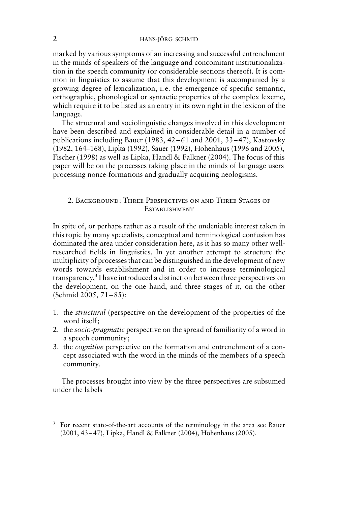marked by various symptoms of an increasing and successful entrenchment in the minds of speakers of the language and concomitant institutionalization in the speech community (or considerable sections thereof). It is common in linguistics to assume that this development is accompanied by a growing degree of lexicalization, i. e. the emergence of specific semantic, orthographic, phonological or syntactic properties of the complex lexeme, which require it to be listed as an entry in its own right in the lexicon of the language.

The structural and sociolinguistic changes involved in this development have been described and explained in considerable detail in a number of publications including Bauer  $(1983, 42-61, 2001, 33-47)$ , Kastovsky (1982, 164–168), Lipka (1992), Sauer (1992), Hohenhaus (1996 and 2005), Fischer (1998) as well as Lipka, Handl & Falkner (2004). The focus of this paper will be on the processes taking place in the minds of language users processing nonce-formations and gradually acquiring neologisms.

## 2. Background: Three Perspectives on and Three Stages of ESTABLISHMENT

In spite of, or perhaps rather as a result of the undeniable interest taken in this topic by many specialists, conceptual and terminological confusion has dominated the area under consideration here, as it has so many other wellresearched fields in linguistics. In yet another attempt to structure the multiplicity of processes that can be distinguished in the development of new words towards establishment and in order to increase terminological transparency, 3 I have introduced a distinction between three perspectives on the development, on the one hand, and three stages of it, on the other (Schmid 2005, 71– 85):

- 1. the structural (perspective on the development of the properties of the word itself;
- 2. the *socio-pragmatic* perspective on the spread of familiarity of a word in a speech community;
- 3. the cognitive perspective on the formation and entrenchment of a concept associated with the word in the minds of the members of a speech community.

The processes brought into view by the three perspectives are subsumed under the labels

<sup>3</sup> For recent state-of-the-art accounts of the terminology in the area see Bauer (2001, 43– 47), Lipka, Handl & Falkner (2004), Hohenhaus (2005).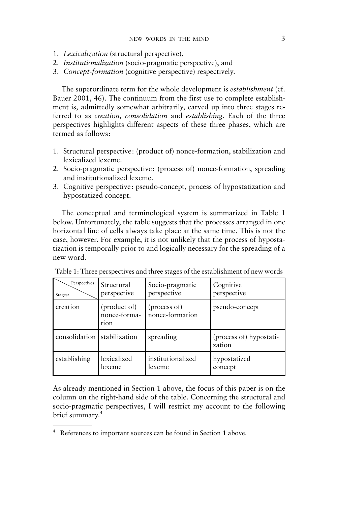- 1. Lexicalization (structural perspective),
- 2. Institutionalization (socio-pragmatic perspective), and
- 3. Concept-formation (cognitive perspective) respectively.

The superordinate term for the whole development is establishment (cf. Bauer 2001, 46). The continuum from the first use to complete establishment is, admittedly somewhat arbitrarily, carved up into three stages referred to as creation, consolidation and establishing. Each of the three perspectives highlights different aspects of these three phases, which are termed as follows:

- 1. Structural perspective: (product of) nonce-formation, stabilization and lexicalized lexeme.
- 2. Socio-pragmatic perspective: (process of) nonce-formation, spreading and institutionalized lexeme.
- 3. Cognitive perspective: pseudo-concept, process of hypostatization and hypostatized concept.

The conceptual and terminological system is summarized in Table 1 below. Unfortunately, the table suggests that the processes arranged in one horizontal line of cells always take place at the same time. This is not the case, however. For example, it is not unlikely that the process of hypostatization is temporally prior to and logically necessary for the spreading of a new word.

| Perspectives: | Structural                           | Socio-pragmatic                 | Cognitive                         |
|---------------|--------------------------------------|---------------------------------|-----------------------------------|
| Stages:       | perspective                          | perspective                     | perspective                       |
| creation      | (product of)<br>nonce-forma-<br>tion | (process of)<br>nonce-formation | pseudo-concept                    |
| consolidation | stabilization                        | spreading                       | (process of) hypostati-<br>zation |
| establishing  | lexicalized                          | institutionalized               | hypostatized                      |
|               | lexeme                               | lexeme                          | concept                           |

Table 1: Three perspectives and three stages of the establishment of new words

As already mentioned in Section 1 above, the focus of this paper is on the column on the right-hand side of the table. Concerning the structural and socio-pragmatic perspectives, I will restrict my account to the following brief summary. 4

<sup>4</sup> References to important sources can be found in Section 1 above.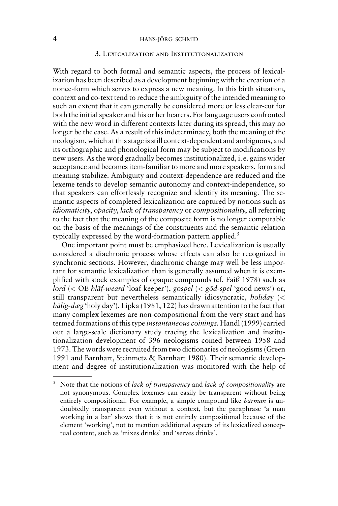#### 4 HANS-JÖRG SCHMID

#### 3. Lexicalization and Institutionalization

With regard to both formal and semantic aspects, the process of lexicalization has been described as a development beginning with the creation of a nonce-form which serves to express a new meaning. In this birth situation, context and co-text tend to reduce the ambiguity of the intended meaning to such an extent that it can generally be considered more or less clear-cut for both the initial speaker and his or her hearers. For language users confronted with the new word in different contexts later during its spread, this may no longer be the case. As a result of this indeterminacy, both the meaning of the neologism, which atthisstage isstill context-dependent and ambiguous, and its orthographic and phonological form may be subject to modifications by new users. As the word gradually becomes institutionalized, i. e. gains wider acceptance and becomes item-familiar to more and more speakers, form and meaning stabilize. Ambiguity and context-dependence are reduced and the lexeme tends to develop semantic autonomy and context-independence, so that speakers can effortlessly recognize and identify its meaning. The semantic aspects of completed lexicalization are captured by notions such as idiomaticity, opacity, lack of transparency or compositionality, all referring to the fact that the meaning of the composite form is no longer computable on the basis of the meanings of the constituents and the semantic relation typically expressed by the word-formation pattern applied.<sup>5</sup>

One important point must be emphasized here. Lexicalization is usually considered a diachronic process whose effects can also be recognized in synchronic sections. However, diachronic change may well be less important for semantic lexicalization than is generally assumed when it is exemplified with stock examples of opaque compounds (cf. Faiß 1978) such as  $\log d$  (< OE  $\hat{h}$  loaf  $\log \hat{h}$  'loaf keeper'), gospel (< god-spel 'good news') or, still transparent but nevertheless semantically idiosyncratic, holiday (< *hālig-dæg* 'holy day'). Lipka (1981, 122) has drawn attention to the fact that many complex lexemes are non-compositional from the very start and has termed formations of this type *instantaneous coinings*. Handl (1999) carried out a large-scale dictionary study tracing the lexicalization and institutionalization development of 396 neologisms coined between 1958 and 1973. The words were recruited from two dictionaries of neologisms(Green 1991 and Barnhart, Steinmetz & Barnhart 1980). Their semantic development and degree of institutionalization was monitored with the help of

Note that the notions of lack of transparency and lack of compositionality are not synonymous. Complex lexemes can easily be transparent without being entirely compositional. For example, a simple compound like barman is undoubtedly transparent even without a context, but the paraphrase 'a man working in a bar' shows that it is not entirely compositional because of the element 'working', not to mention additional aspects of its lexicalized conceptual content, such as 'mixes drinks' and 'serves drinks'.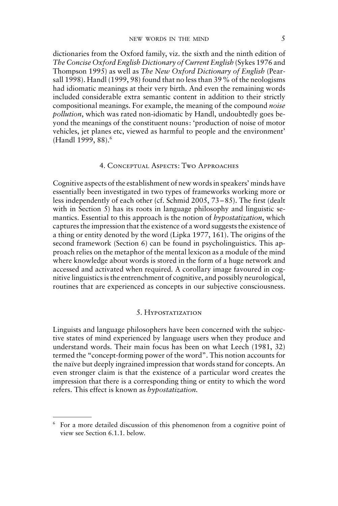dictionaries from the Oxford family, viz. the sixth and the ninth edition of The Concise Oxford English Dictionary of Current English (Sykes 1976 and Thompson 1995) as well as The New Oxford Dictionary of English (Pearsall 1998). Handl (1999, 98) found that no less than 39% of the neologisms had idiomatic meanings at their very birth. And even the remaining words included considerable extra semantic content in addition to their strictly compositional meanings. For example, the meaning of the compound noise pollution, which was rated non-idiomatic by Handl, undoubtedly goes beyond the meanings of the constituent nouns: 'production of noise of motor vehicles, jet planes etc, viewed as harmful to people and the environment' (Handl 1999, 88).<sup>6</sup>

### 4. Conceptual Aspects: Two Approaches

Cognitive aspects of the establishment of new words in speakers' minds have essentially been investigated in two types of frameworks working more or less independently of each other (cf. Schmid 2005, 73– 85). The first (dealt with in Section 5) has its roots in language philosophy and linguistic semantics. Essential to this approach is the notion of *hypostatization*, which captures the impression that the existence of a word suggests the existence of a thing or entity denoted by the word (Lipka 1977, 161). The origins of the second framework (Section 6) can be found in psycholinguistics. This approach relies on the metaphor of the mental lexicon as a module of the mind where knowledge about words is stored in the form of a huge network and accessed and activated when required. A corollary image favoured in cognitive linguistics is the entrenchment of cognitive, and possibly neurological, routines that are experienced as concepts in our subjective consciousness.

#### 5. Hypostatization

Linguists and language philosophers have been concerned with the subjective states of mind experienced by language users when they produce and understand words. Their main focus has been on what Leech (1981, 32) termed the "concept-forming power of the word". This notion accounts for the naïve but deeply ingrained impression that words stand for concepts. An even stronger claim is that the existence of a particular word creates the impression that there is a corresponding thing or entity to which the word refers. This effect is known as hypostatization.

<sup>6</sup> For a more detailed discussion of this phenomenon from a cognitive point of view see Section 6.1.1. below.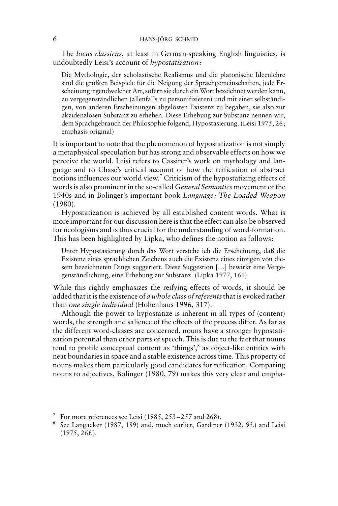The locus classicus, at least in German-speaking English linguistics, is undoubtedly Leisi's account of hypostatization:

Die Mythologie, der scholastische Realismus und die platonische Ideenlehre sind die größten Beispiele für die Neigung der Sprachgemeinschaften, jede Erscheinung irgendwelcher Art, sofern sie durch ein Wort bezeichnet werden kann, zu vergegenständlichen (allenfalls zu personifizieren) und mit einer selbständigen, von anderen Erscheinungen abgelçsten Existenz zu begaben, sie also zur akzidenzlosen Substanz zu erheben. Diese Erhebung zur Substanz nennen wir, dem Sprachgebrauch der Philosophie folgend, Hypostasierung. (Leisi 1975, 26; emphasis original)

It is important to note that the phenomenon of hypostatization is not simply a metaphysical speculation but has strong and observable effects on how we perceive the world. Leisi refers to Cassirer's work on mythology and language and to Chase's critical account of how the reification of abstract notions influences our world view. <sup>7</sup> Criticism of the hypostatizing effects of words is also prominent in the so-called General Semantics movement of the 1940s and in Bolinger's important book Language: The Loaded Weapon (1980).

Hypostatization is achieved by all established content words. What is more important for our discussion here isthat the effect can also be observed for neologisms and is thus crucial for the understanding of word-formation. This has been highlighted by Lipka, who defines the notion as follows:

Unter Hypostasierung durch das Wort verstehe ich die Erscheinung, daß die Existenz eines sprachlichen Zeichens auch die Existenz eines einzigen von diesem bezeichneten Dings suggeriert. Diese Suggestion […] bewirkt eine Vergegenständlichung, eine Erhebung zur Substanz. (Lipka 1977, 161)

While this rightly emphasizes the reifying effects of words, it should be added that it is the existence of a whole class of referents that is evoked rather than one single individual (Hohenhaus 1996, 317).

Although the power to hypostatize is inherent in all types of (content) words, the strength and salience of the effects of the process differ. As far as the different word-classes are concerned, nouns have a stronger hypostatization potential than other parts of speech. This is due to the fact that nouns tend to profile conceptual content as 'things',  $\delta$  as object-like entities with neat boundaries in space and a stable existence across time. This property of nouns makes them particularly good candidates for reification. Comparing nouns to adjectives, Bolinger (1980, 79) makes this very clear and empha-

<sup>&</sup>lt;sup>7</sup> For more references see Leisi (1985,  $253 - 257$  and  $268$ ).

<sup>&</sup>lt;sup>8</sup> See Langacker (1987, 189) and, much earlier, Gardiner (1932, 9f.) and Leisi (1975, 26f.).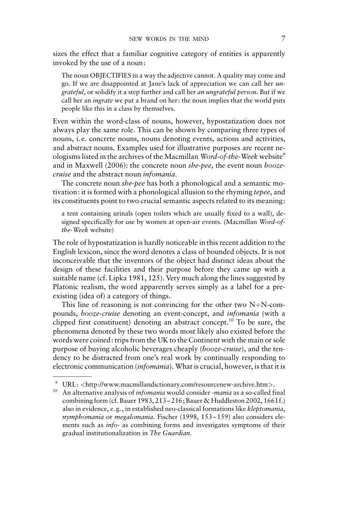sizes the effect that a familiar cognitive category of entities is apparently invoked by the use of a noun:

The noun OBJECTIFIES in a way the adjective cannot. A quality may come and go. If we are disappointed at Jane's lack of appreciation we can call her ungrateful, or solidify it a step further and call her an ungrateful person. But if we call her an *ingrate* we put a brand on her: the noun implies that the world puts people like this in a class by themselves.

Even within the word-class of nouns, however, hypostatization does not always play the same role. This can be shown by comparing three types of nouns, i. e. concrete nouns, nouns denoting events, actions and activities, and abstract nouns. Examples used for illustrative purposes are recent neologisms listed in the archives of the Macmillan Word-of-the-Week website<sup>9</sup> and in Maxwell (2006): the concrete noun she-pee, the event noun boozecruise and the abstract noun infomania.

The concrete noun she-pee has both a phonological and a semantic motivation: it is formed with a phonological allusion to the rhyming tepee, and its constituents point to two crucial semantic aspects related to its meaning:

a tent containing urinals (open toilets which are usually fixed to a wall), designed specifically for use by women at open-air events. (Macmillan Word-ofthe-Week website)

The role of hypostatization is hardly noticeable in this recent addition to the English lexicon, since the word denotes a class of bounded objects. It is not inconceivable that the inventors of the object had distinct ideas about the design of these facilities and their purpose before they came up with a suitable name (cf. Lipka 1981, 125). Very much along the lines suggested by Platonic realism, the word apparently serves simply as a label for a preexisting (idea of) a category of things.

This line of reasoning is not convincing for the other two  $N+N$ -compounds, booze-cruise denoting an event-concept, and infomania (with a clipped first constituent) denoting an abstract concept.<sup>10</sup> To be sure, the phenomena denoted by these two words most likely also existed before the words were coined: trips from the UK to the Continent with the main or sole purpose of buying alcoholic beverages cheaply (booze-cruise), and the tendency to be distracted from one's real work by continually responding to electronic communication (*infomania*). What is crucial, however, is that it is

URL: <http://www.macmillandictionary.com/resourcenew-archive.htm>.

An alternative analysis of *infomania* would consider -*mania* as a so-called final combining form (cf. Bauer 1983, 213– 216; Bauer & Huddleston 2002, 1661f.) also in evidence, e. g., in established neo-classical formations like kleptomania, nymphomania or megalomania. Fischer (1998, 153– 159) also considers elements such as *info-* as combining forms and investigates symptoms of their gradual institutionalization in The Guardian.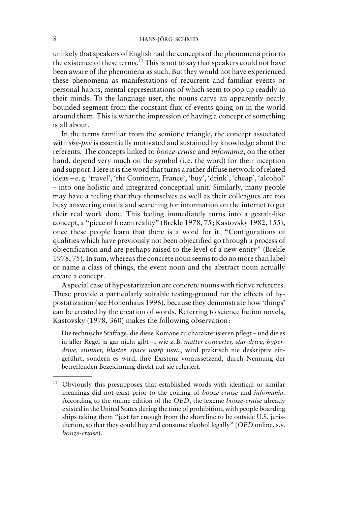unlikely that speakers of English had the concepts of the phenomena prior to the existence of these terms.<sup>11</sup> This is not to say that speakers could not have been aware of the phenomena as such. But they would not have experienced these phenomena as manifestations of recurrent and familiar events or personal habits, mental representations of which seem to pop up readily in their minds. To the language user, the nouns carve an apparently neatly bounded segment from the constant flux of events going on in the world around them. This is what the impression of having a concept of something is all about.

In the terms familiar from the semiotic triangle, the concept associated with *she-pee* is essentially motivated and sustained by knowledge about the referents. The concepts linked to booze-cruise and infomania, on the other hand, depend very much on the symbol (i. e. the word) for their inception and support. Here it is the word that turns a rather diffuse network of related ideas – e. g. 'travel', 'the Continent, France', 'buy', 'drink', 'cheap', 'alcohol' – into one holistic and integrated conceptual unit. Similarly, many people may have a feeling that they themselves as well as their colleagues are too busy answering emails and searching for information on the internet to get their real work done. This feeling immediately turns into a gestalt-like concept, a "piece of frozen reality" (Brekle 1978, 75; Kastovsky 1982, 155), once these people learn that there is a word for it. "Configurations of qualities which have previously not been objectified go through a process of objectification and are perhaps raised to the level of a new entity" (Brekle 1978, 75). In sum, whereasthe concrete noun seemsto do no more than label or name a class of things, the event noun and the abstract noun actually create a concept.

A special case of hypostatization are concrete nouns with fictive referents. These provide a particularly suitable testing-ground for the effects of hypostatization (see Hohenhaus 1996), because they demonstrate how 'things' can be created by the creation of words. Referring to science fiction novels, Kastovsky (1978, 360) makes the following observation:

Die technische Staffage, die diese Romane zu charakterisieren pflegt – und die es in aller Regel ja gar nicht gibt –, wie z.B. matter converter, star-drive, hyperdrive, stunner, blaster, space warp usw., wird praktisch nie deskriptiv eingeführt, sondern es wird, ihre Existenz voraussetzend, durch Nennung der betreffenden Bezeichnung direkt auf sie referiert.

Obviously this presupposes that established words with identical or similar meanings did not exist prior to the coining of booze-cruise and infomania. According to the online edition of the OED, the lexeme booze-cruise already existed in the United States during the time of prohibition, with people boarding ships taking them "just far enough from the shoreline to be outside U.S. jurisdiction, so that they could buy and consume alcohol legally" (OED online, s.v. booze-cruise).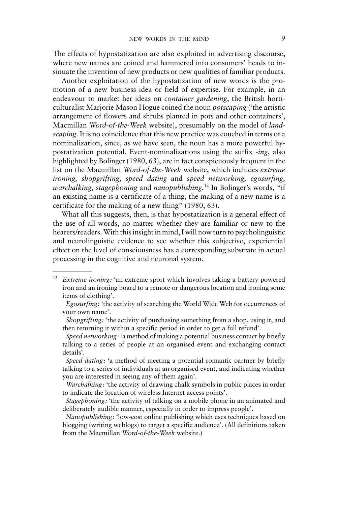The effects of hypostatization are also exploited in advertising discourse, where new names are coined and hammered into consumers' heads to insinuate the invention of new products or new qualities of familiar products.

Another exploitation of the hypostatization of new words is the promotion of a new business idea or field of expertise. For example, in an endeavour to market her ideas on container gardening, the British horticulturalist Marjorie Mason Hogue coined the noun potscaping ('the artistic arrangement of flowers and shrubs planted in pots and other containers', Macmillan Word-of-the-Week website), presumably on the model of landscaping. It is no coincidence that this new practice was couched in terms of a nominalization, since, as we have seen, the noun has a more powerful hypostatization potential. Event-nominalizations using the suffix -ing, also highlighted by Bolinger (1980, 63), are in fact conspicuously frequent in the list on the Macmillan Word-of-the-Week website, which includes extreme ironing, shopgrifting, speed dating and speed networking, egosurfing, warchalking, stagephoning and nanopublishing.<sup>12</sup> In Bolinger's words, "if an existing name is a certificate of a thing, the making of a new name is a certificate for the making of a new thing" (1980, 63).

What all this suggests, then, is that hypostatization is a general effect of the use of all words, no matter whether they are familiar or new to the hearers/readers. With this insight in mind, I will now turn to psycholinguistic and neurolinguistic evidence to see whether this subjective, experiential effect on the level of consciousness has a corresponding substrate in actual processing in the cognitive and neuronal system.

Nanopublishing: 'low-cost online publishing which uses techniques based on blogging (writing weblogs) to target a specific audience'. (All definitions taken from the Macmillan Word-of-the-Week website.)

<sup>&</sup>lt;sup>12</sup> Extreme ironing: 'an extreme sport which involves taking a battery powered iron and an ironing board to a remote or dangerous location and ironing some items of clothing'.

Egosurfing: 'the activity of searching the World Wide Web for occurrences of your own name'.

Shopgrifting: 'the activity of purchasing something from a shop, using it, and then returning it within a specific period in order to get a full refund'.

Speed networking: 'a method of making a potential business contact by briefly talking to a series of people at an organised event and exchanging contact details'.

Speed dating: 'a method of meeting a potential romantic partner by briefly talking to a series of individuals at an organised event, and indicating whether you are interested in seeing any of them again'.

Warchalking: 'the activity of drawing chalk symbols in public places in order to indicate the location of wireless Internet access points'.

Stagephoning: 'the activity of talking on a mobile phone in an animated and deliberately audible manner, especially in order to impress people'.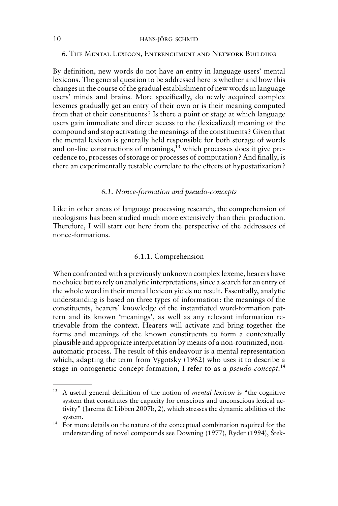### 6. The Mental Lexicon, Entrenchment and Network Building

By definition, new words do not have an entry in language users' mental lexicons. The general question to be addressed here is whether and how this changes in the course of the gradual establishment of new words in language users' minds and brains. More specifically, do newly acquired complex lexemes gradually get an entry of their own or is their meaning computed from that of their constituents? Is there a point or stage at which language users gain immediate and direct access to the (lexicalized) meaning of the compound and stop activating the meanings of the constituents? Given that the mental lexicon is generally held responsible for both storage of words and on-line constructions of meanings, $^{13}$  which processes does it give precedence to, processes of storage or processes of computation? And finally, is there an experimentally testable correlate to the effects of hypostatization?

## 6.1. Nonce-formation and pseudo-concepts

Like in other areas of language processing research, the comprehension of neologisms has been studied much more extensively than their production. Therefore, I will start out here from the perspective of the addressees of nonce-formations.

## 6.1.1. Comprehension

When confronted with a previously unknown complex lexeme, hearers have no choice but to rely on analytic interpretations, since a search for an entry of the whole word in their mental lexicon yields no result. Essentially, analytic understanding is based on three types of information: the meanings of the constituents, hearers' knowledge of the instantiated word-formation pattern and its known 'meanings', as well as any relevant information retrievable from the context. Hearers will activate and bring together the forms and meanings of the known constituents to form a contextually plausible and appropriate interpretation by means of a non-routinized, nonautomatic process. The result of this endeavour is a mental representation which, adapting the term from Vygotsky (1962) who uses it to describe a stage in ontogenetic concept-formation, I refer to as a *pseudo-concept*.<sup>14</sup>

 $13$  A useful general definition of the notion of *mental lexicon* is "the cognitive system that constitutes the capacity for conscious and unconscious lexical activity" (Jarema & Libben 2007b, 2), which stresses the dynamic abilities of the system.

 $14$  For more details on the nature of the conceptual combination required for the restanding of novel compounds see Downing (1977), Ryder (1994), Štek-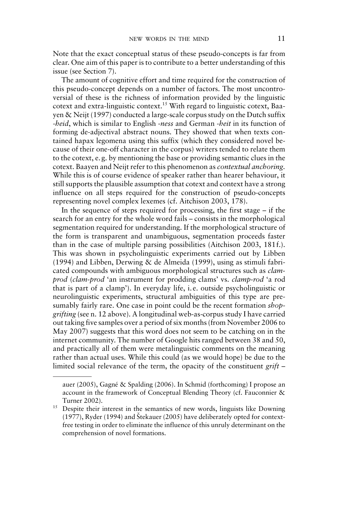Note that the exact conceptual status of these pseudo-concepts is far from clear. One aim of this paper is to contribute to a better understanding of this issue (see Section 7).

The amount of cognitive effort and time required for the construction of this pseudo-concept depends on a number of factors. The most uncontroversial of these is the richness of information provided by the linguistic cotext and extra-linguistic context.<sup>15</sup> With regard to linguistic cotext, Baayen & Neijt (1997) conducted a large-scale corpusstudy on the Dutch suffix -heid, which is similar to English -ness and German -heit in its function of forming de-adjectival abstract nouns. They showed that when texts contained hapax legomena using this suffix (which they considered novel because of their one-off character in the corpus) writers tended to relate them to the cotext, e. g. by mentioning the base or providing semantic clues in the cotext. Baayen and Neijt refer to this phenomenon as contextual anchoring. While this is of course evidence of speaker rather than hearer behaviour, it still supports the plausible assumption that cotext and context have a strong influence on all steps required for the construction of pseudo-concepts representing novel complex lexemes (cf. Aitchison 2003, 178).

In the sequence of steps required for processing, the first stage – if the search for an entry for the whole word fails – consists in the morphological segmentation required for understanding. If the morphological structure of the form is transparent and unambiguous, segmentation proceeds faster than in the case of multiple parsing possibilities (Aitchison 2003, 181f.). This was shown in psycholinguistic experiments carried out by Libben (1994) and Libben, Derwing & de Almeida (1999), using as stimuli fabricated compounds with ambiguous morphological structures such as *clam*prod (clam-prod 'an instrument for prodding clams' vs. clamp-rod 'a rod that is part of a clamp'). In everyday life, i. e. outside psycholinguistic or neurolinguistic experiments, structural ambiguities of this type are presumably fairly rare. One case in point could be the recent formation shopgrifting (see n. 12 above). A longitudinal web-as-corpus study I have carried out taking five samples over a period of six months (from November 2006 to May 2007) suggests that this word does not seem to be catching on in the internet community. The number of Google hits ranged between 38 and 50, and practically all of them were metalinguistic comments on the meaning rather than actual uses. While this could (as we would hope) be due to the limited social relevance of the term, the opacity of the constituent  $\frac{grift}{ }$  –

auer (2005), Gagné & Spalding (2006). In Schmid (forthcoming) I propose an account in the framework of Conceptual Blending Theory (cf. Fauconnier & Turner 2002).

 $15$  Despite their interest in the semantics of new words, linguists like Downing Figure 1994) and Stekauer (2005) have deliberately opted for contextfree testing in order to eliminate the influence of this unruly determinant on the comprehension of novel formations.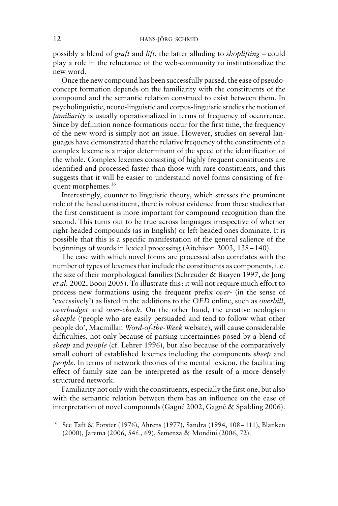possibly a blend of graft and lift, the latter alluding to shoplifting – could play a role in the reluctance of the web-community to institutionalize the new word.

Once the new compound has been successfully parsed, the ease of pseudoconcept formation depends on the familiarity with the constituents of the compound and the semantic relation construed to exist between them. In psycholinguistic, neuro-linguistic and corpus-linguistic studiesthe notion of familiarity is usually operationalized in terms of frequency of occurrence. Since by definition nonce-formations occur for the first time, the frequency of the new word is simply not an issue. However, studies on several languages have demonstrated that the relative frequency of the constituents of a complex lexeme is a major determinant of the speed of the identification of the whole. Complex lexemes consisting of highly frequent constituents are identified and processed faster than those with rare constituents, and this suggests that it will be easier to understand novel forms consisting of frequent morphemes.<sup>16</sup>

Interestingly, counter to linguistic theory, which stresses the prominent role of the head constituent, there is robust evidence from these studies that the first constituent is more important for compound recognition than the second. This turns out to be true across languages irrespective of whether right-headed compounds (as in English) or left-headed ones dominate. It is possible that this is a specific manifestation of the general salience of the beginnings of words in lexical processing (Aitchison 2003, 138– 140).

The ease with which novel forms are processed also correlates with the number of types of lexemes that include the constituents as components, i. e. the size of their morphological families (Schreuder & Baayen 1997, de Jong et al. 2002, Booij 2005). To illustrate this: it will not require much effort to process new formations using the frequent prefix over- (in the sense of 'excessively') as listed in the additions to the OED online, such as overbill, overbudget and over-check. On the other hand, the creative neologism sheeple ('people who are easily persuaded and tend to follow what other people do', Macmillan Word-of-the-Week website), will cause considerable difficulties, not only because of parsing uncertainties posed by a blend of sheep and people (cf. Lehrer 1996), but also because of the comparatively small cohort of established lexemes including the components sheep and people. In terms of network theories of the mental lexicon, the facilitating effect of family size can be interpreted as the result of a more densely structured network.

Familiarity not only with the constituents, especially the first one, but also with the semantic relation between them has an influence on the ease of interpretation of novel compounds (Gagné 2002, Gagné & Spalding 2006).

See Taft & Forster (1976), Ahrens (1977), Sandra (1994, 108-111), Blanken (2000), Jarema (2006, 54f., 69), Semenza & Mondini (2006, 72).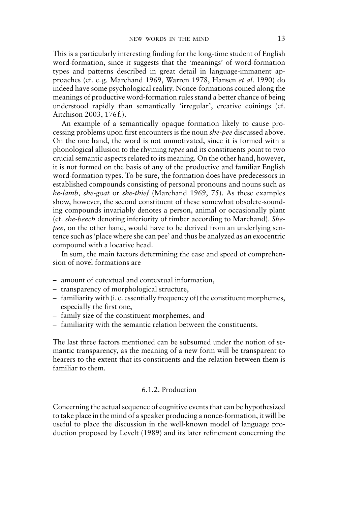This is a particularly interesting finding for the long-time student of English word-formation, since it suggests that the 'meanings' of word-formation types and patterns described in great detail in language-immanent approaches (cf. e. g. Marchand 1969, Warren 1978, Hansen et al. 1990) do indeed have some psychological reality. Nonce-formations coined along the meanings of productive word-formation rules stand a better chance of being understood rapidly than semantically 'irregular', creative coinings (cf. Aitchison 2003, 176f.).

An example of a semantically opaque formation likely to cause processing problems upon first encounters is the noun she-pee discussed above. On the one hand, the word is not unmotivated, since it is formed with a phonological allusion to the rhyming tepee and its constituents point to two crucial semantic aspects related to its meaning. On the other hand, however, it is not formed on the basis of any of the productive and familiar English word-formation types. To be sure, the formation does have predecessors in established compounds consisting of personal pronouns and nouns such as he-lamb, she-goat or she-thief (Marchand 1969, 75). As these examples show, however, the second constituent of these somewhat obsolete-sounding compounds invariably denotes a person, animal or occasionally plant (cf. she-beech denoting inferiority of timber according to Marchand). Shepee, on the other hand, would have to be derived from an underlying sentence such as'place where she can pee' and thus be analyzed as an exocentric compound with a locative head.

In sum, the main factors determining the ease and speed of comprehension of novel formations are

- amount of cotextual and contextual information,
- transparency of morphological structure,
- familiarity with (i. e. essentially frequency of) the constituent morphemes, especially the first one,
- family size of the constituent morphemes, and
- familiarity with the semantic relation between the constituents.

The last three factors mentioned can be subsumed under the notion of semantic transparency, as the meaning of a new form will be transparent to hearers to the extent that its constituents and the relation between them is familiar to them.

### 6.1.2. Production

Concerning the actual sequence of cognitive events that can be hypothesized to take place in the mind of a speaker producing a nonce-formation, it will be useful to place the discussion in the well-known model of language production proposed by Levelt (1989) and its later refinement concerning the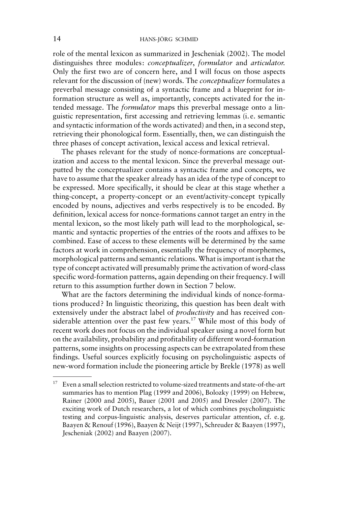role of the mental lexicon as summarized in Jescheniak (2002). The model distinguishes three modules: conceptualizer, formulator and articulator. Only the first two are of concern here, and I will focus on those aspects relevant for the discussion of (new) words. The conceptualizer formulates a preverbal message consisting of a syntactic frame and a blueprint for information structure as well as, importantly, concepts activated for the intended message. The formulator maps this preverbal message onto a linguistic representation, first accessing and retrieving lemmas (i. e. semantic and syntactic information of the words activated) and then, in a second step, retrieving their phonological form. Essentially, then, we can distinguish the three phases of concept activation, lexical access and lexical retrieval.

The phases relevant for the study of nonce-formations are conceptualization and access to the mental lexicon. Since the preverbal message outputted by the conceptualizer contains a syntactic frame and concepts, we have to assume that the speaker already has an idea of the type of concept to be expressed. More specifically, it should be clear at this stage whether a thing-concept, a property-concept or an event/activity-concept typically encoded by nouns, adjectives and verbs respectively is to be encoded. By definition, lexical access for nonce-formations cannot target an entry in the mental lexicon, so the most likely path will lead to the morphological, semantic and syntactic properties of the entries of the roots and affixes to be combined. Ease of access to these elements will be determined by the same factors at work in comprehension, essentially the frequency of morphemes, morphological patterns and semantic relations. What is important is that the type of concept activated will presumably prime the activation of word-class specific word-formation patterns, again depending on their frequency. I will return to this assumption further down in Section 7 below.

What are the factors determining the individual kinds of nonce-formations produced? In linguistic theorizing, this question has been dealt with extensively under the abstract label of *productivity* and has received considerable attention over the past few years.<sup>17</sup> While most of this body of recent work does not focus on the individual speaker using a novel form but on the availability, probability and profitability of different word-formation patterns, some insights on processing aspects can be extrapolated from these findings. Useful sources explicitly focusing on psycholinguistic aspects of new-word formation include the pioneering article by Brekle (1978) as well

<sup>&</sup>lt;sup>17</sup> Even a small selection restricted to volume-sized treatments and state-of-the-art summaries has to mention Plag (1999 and 2006), Bolozky (1999) on Hebrew, Rainer (2000 and 2005), Bauer (2001 and 2005) and Dressler (2007). The exciting work of Dutch researchers, a lot of which combines psycholinguistic testing and corpus-linguistic analysis, deserves particular attention, cf. e. g. Baayen & Renouf (1996), Baayen & Neijt (1997), Schreuder & Baayen (1997), Jescheniak (2002) and Baayen (2007).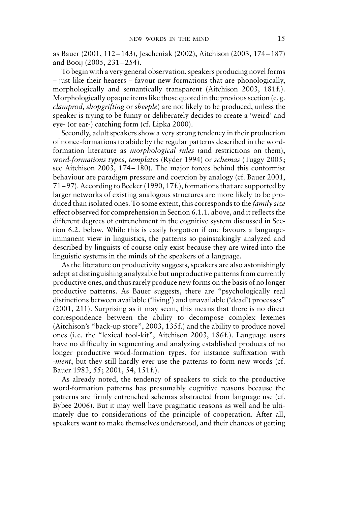as Bauer (2001, 112 –143), Jescheniak (2002), Aitchison (2003, 174– 187) and Booij (2005, 231-254).

To begin with a very general observation, speakers producing novel forms – just like their hearers – favour new formations that are phonologically, morphologically and semantically transparent (Aitchison 2003, 181f.). Morphologically opaque items like those quoted in the previous section (e.g. clamprod, shopgrifting or sheeple) are not likely to be produced, unless the speaker is trying to be funny or deliberately decides to create a 'weird' and eye- (or ear-) catching form (cf. Lipka 2000).

Secondly, adult speakers show a very strong tendency in their production of nonce-formations to abide by the regular patterns described in the wordformation literature as morphological rules (and restrictions on them), word-formations types, templates (Ryder 1994) or schemas (Tuggy 2005; see Aitchison 2003, 174– 180). The major forces behind this conformist behaviour are paradigm pressure and coercion by analogy (cf. Bauer 2001, 71–97). According to Becker (1990, 17f.), formations that are supported by larger networks of existing analogous structures are more likely to be produced than isolated ones. To some extent, this corresponds to the *family size* effect observed for comprehension in Section 6.1.1. above, and it reflects the different degrees of entrenchment in the cognitive system discussed in Section 6.2. below. While this is easily forgotten if one favours a languageimmanent view in linguistics, the patterns so painstakingly analyzed and described by linguists of course only exist because they are wired into the linguistic systems in the minds of the speakers of a language.

As the literature on productivity suggests, speakers are also astonishingly adept at distinguishing analyzable but unproductive patterns from currently productive ones, and thusrarely produce new forms on the basis of no longer productive patterns. As Bauer suggests, there are "psychologically real distinctions between available ('living') and unavailable ('dead') processes" (2001, 211). Surprising as it may seem, this means that there is no direct correspondence between the ability to decompose complex lexemes (Aitchison's "back-up store", 2003, 135f.) and the ability to produce novel ones (i. e. the "lexical tool-kit", Aitchison 2003, 186f.). Language users have no difficulty in segmenting and analyzing established products of no longer productive word-formation types, for instance suffixation with -*ment*, but they still hardly ever use the patterns to form new words (cf. Bauer 1983, 55; 2001, 54, 151f.).

As already noted, the tendency of speakers to stick to the productive word-formation patterns has presumably cognitive reasons because the patterns are firmly entrenched schemas abstracted from language use (cf. Bybee 2006). But it may well have pragmatic reasons as well and be ultimately due to considerations of the principle of cooperation. After all, speakers want to make themselves understood, and their chances of getting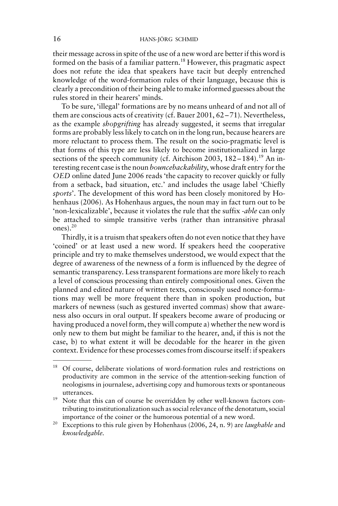their message acrossin spite of the use of a new word are betterif this word is formed on the basis of a familiar pattern.<sup>18</sup> However, this pragmatic aspect does not refute the idea that speakers have tacit but deeply entrenched knowledge of the word-formation rules of their language, because this is clearly a precondition of their being able to make informed guesses about the rules stored in their hearers' minds.

To be sure, 'illegal' formations are by no means unheard of and not all of them are conscious acts of creativity (cf. Bauer 2001, 62– 71). Nevertheless, as the example shopgrifting has already suggested, it seems that irregular forms are probably lesslikely to catch on in the long run, because hearers are more reluctant to process them. The result on the socio-pragmatic level is that forms of this type are less likely to become institutionalized in large sections of the speech community (cf. Aitchison 2003,  $182-184$ ).<sup>19</sup> An interesting recent case is the noun *bouncebackability*, whose draft entry for the OED online dated June 2006 reads 'the capacity to recover quickly or fully from a setback, bad situation, etc.' and includes the usage label 'Chiefly sports'. The development of this word has been closely monitored by Hohenhaus (2006). As Hohenhaus argues, the noun may in fact turn out to be 'non-lexicalizable', because it violates the rule that the suffix -able can only be attached to simple transitive verbs (rather than intransitive phrasal ones). $20$ 

Thirdly, it is a truism that speakers often do not even notice that they have 'coined' or at least used a new word. If speakers heed the cooperative principle and try to make themselves understood, we would expect that the degree of awareness of the newness of a form is influenced by the degree of semantic transparency. Less transparent formations are more likely to reach a level of conscious processing than entirely compositional ones. Given the planned and edited nature of written texts, consciously used nonce-formations may well be more frequent there than in spoken production, but markers of newness (such as gestured inverted commas) show that awareness also occurs in oral output. If speakers become aware of producing or having produced a novel form, they will compute a) whether the new word is only new to them but might be familiar to the hearer, and, if this is not the case, b) to what extent it will be decodable for the hearer in the given context. Evidence for these processes comes from discourse itself: if speakers

<sup>&</sup>lt;sup>18</sup> Of course, deliberate violations of word-formation rules and restrictions on productivity are common in the service of the attention-seeking function of neologisms in journalese, advertising copy and humorous texts or spontaneous utterances.

<sup>&</sup>lt;sup>19</sup> Note that this can of course be overridden by other well-known factors contributing to institutionalization such as social relevance of the denotatum, social importance of the coiner or the humorous potential of a new word.

<sup>&</sup>lt;sup>20</sup> Exceptions to this rule given by Hohenhaus (2006, 24, n. 9) are *laughable* and knowledgable.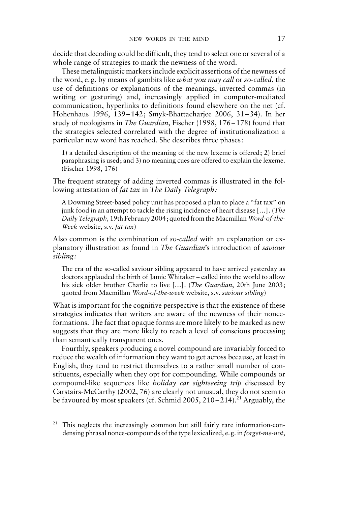decide that decoding could be difficult, they tend to select one or several of a whole range of strategies to mark the newness of the word.

These metalinguistic markersinclude explicit assertions of the newness of the word, e.g. by means of gambits like *what you may call* or so-called, the use of definitions or explanations of the meanings, inverted commas (in writing or gesturing) and, increasingly applied in computer-mediated communication, hyperlinks to definitions found elsewhere on the net (cf. Hohenhaus 1996, 139– 142; Smyk-Bhattacharjee 2006, 31– 34). In her study of neologisms in The Guardian, Fischer (1998, 176–178) found that the strategies selected correlated with the degree of institutionalization a particular new word has reached. She describes three phases:

1) a detailed description of the meaning of the new lexeme is offered; 2) brief paraphrasing is used; and 3) no meaning cues are offered to explain the lexeme. (Fischer 1998, 176)

The frequent strategy of adding inverted commas is illustrated in the following attestation of fat tax in The Daily Telegraph:

A Downing Street-based policy unit has proposed a plan to place a "fat tax" on junk food in an attempt to tackle the rising incidence of heart disease […]. (The Daily Telegraph, 19th February 2004; quoted from the Macmillan Word-of-the-Week website, s.v. fat tax)

Also common is the combination of so-called with an explanation or explanatory illustration as found in The Guardian's introduction of saviour sibling:

The era of the so-called saviour sibling appeared to have arrived yesterday as doctors applauded the birth of Jamie Whitaker – called into the world to allow his sick older brother Charlie to live [...]. (The Guardian, 20th June 2003; quoted from Macmillan Word-of-the-week website, s.v. saviour sibling)

What is important for the cognitive perspective is that the existence of these strategies indicates that writers are aware of the newness of their nonceformations. The fact that opaque forms are more likely to be marked as new suggests that they are more likely to reach a level of conscious processing than semantically transparent ones.

Fourthly, speakers producing a novel compound are invariably forced to reduce the wealth of information they want to get across because, at least in English, they tend to restrict themselves to a rather small number of constituents, especially when they opt for compounding. While compounds or compound-like sequences like holiday car sightseeing trip discussed by Carstairs-McCarthy (2002, 76) are clearly not unusual, they do not seem to be favoured by most speakers (cf. Schmid 2005, 210–214).<sup>21</sup> Arguably, the

<sup>&</sup>lt;sup>21</sup> This neglects the increasingly common but still fairly rare information-condensing phrasal nonce-compounds of the type lexicalized, e.g. in *forget-me-not*,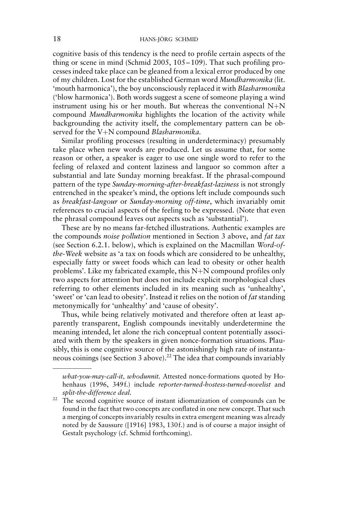cognitive basis of this tendency is the need to profile certain aspects of the thing or scene in mind (Schmid 2005, 105-109). That such profiling processes indeed take place can be gleaned from a lexical error produced by one of my children. Lost for the established German word Mundharmonika (lit. 'mouth harmonica'), the boy unconsciously replaced it with Blasharmonika ('blow harmonica'). Both words suggest a scene of someone playing a wind instrument using his or her mouth. But whereas the conventional  $N+N$ compound Mundharmonika highlights the location of the activity while backgrounding the activity itself, the complementary pattern can be observed for the V $+N$  compound Blasharmonika.

Similar profiling processes (resulting in underdeterminacy) presumably take place when new words are produced. Let us assume that, for some reason or other, a speaker is eager to use one single word to refer to the feeling of relaxed and content laziness and languor so common after a substantial and late Sunday morning breakfast. If the phrasal-compound pattern of the type Sunday-morning-after-breakfast-laziness is not strongly entrenched in the speaker's mind, the options left include compounds such as breakfast-langour or Sunday-morning off-time, which invariably omit references to crucial aspects of the feeling to be expressed. (Note that even the phrasal compound leaves out aspects such as 'substantial').

These are by no means far-fetched illustrations. Authentic examples are the compounds noise pollution mentioned in Section 3 above, and fat tax (see Section 6.2.1. below), which is explained on the Macmillan Word-ofthe-Week website as 'a tax on foods which are considered to be unhealthy, especially fatty or sweet foods which can lead to obesity or other health problems'. Like my fabricated example, this N+N compound profiles only two aspects for attention but does not include explicit morphological clues referring to other elements included in its meaning such as 'unhealthy', 'sweet' or 'can lead to obesity'. Instead it relies on the notion of fat standing metonymically for 'unhealthy' and 'cause of obesity'.

Thus, while being relatively motivated and therefore often at least apparently transparent, English compounds inevitably underdetermine the meaning intended, let alone the rich conceptual content potentially associated with them by the speakers in given nonce-formation situations. Plausibly, this is one cognitive source of the astonishingly high rate of instantaneous coinings (see Section 3 above).<sup>22</sup> The idea that compounds invariably

what-you-may-call-it, whodunnit. Attested nonce-formations quoted by Hohenhaus (1996, 349f.) include reporter-turned-hostess-turned-novelist and split-the-difference deal.

 $22$  The second cognitive source of instant idiomatization of compounds can be found in the fact that two concepts are conflated in one new concept. That such a merging of concepts invariably results in extra emergent meaning was already noted by de Saussure ([1916] 1983, 130f.) and is of course a major insight of Gestalt psychology (cf. Schmid forthcoming).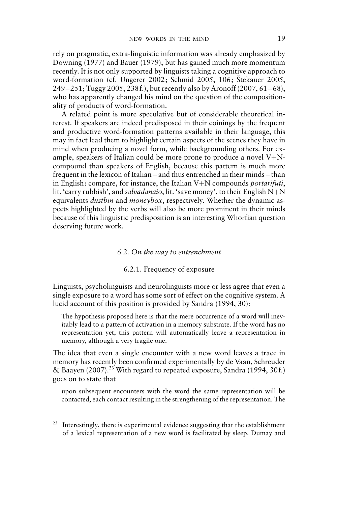rely on pragmatic, extra-linguistic information was already emphasized by Downing (1977) and Bauer (1979), but has gained much more momentum recently. It is not only supported by linguists taking a cognitive approach to word-formation (cf. Ungerer 2002; Schmid 2005, 106; Štekauer 2005, 249–251; Tuggy 2005, 238f.), but recently also by Aronoff  $(2007, 61-68)$ , who has apparently changed his mind on the question of the compositionality of products of word-formation.

A related point is more speculative but of considerable theoretical interest. If speakers are indeed predisposed in their coinings by the frequent and productive word-formation patterns available in their language, this may in fact lead them to highlight certain aspects of the scenes they have in mind when producing a novel form, while backgrounding others. For example, speakers of Italian could be more prone to produce a novel  $V+N$ compound than speakers of English, because this pattern is much more frequent in the lexicon of Italian – and thus entrenched in their minds – than in English: compare, for instance, the Italian  $V+N$  compounds portarifuti, lit. 'carry rubbish', and salvadanaio, lit. 'save money', to their English N+N equivalents *dustbin* and *moneybox*, respectively. Whether the dynamic aspects highlighted by the verbs will also be more prominent in their minds because of this linguistic predisposition is an interesting Whorfian question deserving future work.

#### 6.2. On the way to entrenchment

### 6.2.1. Frequency of exposure

Linguists, psycholinguists and neurolinguists more or less agree that even a single exposure to a word has some sort of effect on the cognitive system. A lucid account of this position is provided by Sandra (1994, 30):

The hypothesis proposed here is that the mere occurrence of a word will inevitably lead to a pattern of activation in a memory substrate. If the word has no representation yet, this pattern will automatically leave a representation in memory, although a very fragile one.

The idea that even a single encounter with a new word leaves a trace in memory has recently been confirmed experimentally by de Vaan, Schreuder & Baayen (2007).<sup>23</sup> With regard to repeated exposure, Sandra (1994, 30f.) goes on to state that

upon subsequent encounters with the word the same representation will be contacted, each contact resulting in the strengthening of the representation. The

<sup>&</sup>lt;sup>23</sup> Interestingly, there is experimental evidence suggesting that the establishment of a lexical representation of a new word is facilitated by sleep. Dumay and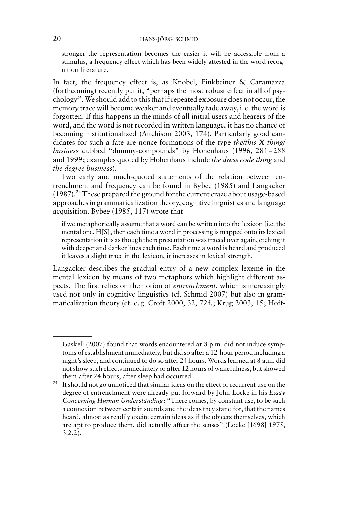### 20 HANS-JÖRG SCHMID

stronger the representation becomes the easier it will be accessible from a stimulus, a frequency effect which has been widely attested in the word recognition literature.

In fact, the frequency effect is, as Knobel, Finkbeiner & Caramazza (forthcoming) recently put it, "perhaps the most robust effect in all of psychology". We should add to this that if repeated exposure does not occur, the memory trace will become weaker and eventually fade away, i. e. the word is forgotten. If this happens in the minds of all initial users and hearers of the word, and the word is not recorded in written language, it has no chance of becoming institutionalized (Aitchison 2003, 174). Particularly good candidates for such a fate are nonce-formations of the type the/this X thing/ business dubbed "dummy-compounds" by Hohenhaus (1996, 281-288) and 1999; examples quoted by Hohenhaus include the dress code thing and the degree business).

Two early and much-quoted statements of the relation between entrenchment and frequency can be found in Bybee (1985) and Langacker (1987).<sup>24</sup> These prepared the ground for the current craze about usage-based approachesin grammaticalization theory, cognitive linguistics and language acquisition. Bybee (1985, 117) wrote that

if we metaphorically assume that a word can be written into the lexicon [i.e. the mental one, HJS], then each time a word in processing is mapped onto itslexical representation it is asthough the representation wastraced over again, etching it with deeper and darker lines each time. Each time a word is heard and produced it leaves a slight trace in the lexicon, it increases in lexical strength.

Langacker describes the gradual entry of a new complex lexeme in the mental lexicon by means of two metaphors which highlight different aspects. The first relies on the notion of entrenchment, which is increasingly used not only in cognitive linguistics (cf. Schmid 2007) but also in grammaticalization theory (cf. e. g. Croft 2000, 32, 72f.; Krug 2003, 15; Hoff-

Gaskell (2007) found that words encountered at 8 p.m. did not induce symptoms of establishment immediately, but did so after a 12-hour period including a night's sleep, and continued to do so after 24 hours. Words learned at 8 a.m. did not show such effects immediately or after 12 hours of wakefulness, but showed them after 24 hours, after sleep had occurred.

It should not go unnoticed that similar ideas on the effect of recurrent use on the degree of entrenchment were already put forward by John Locke in his Essay Concerning Human Understanding: "There comes, by constant use, to be such a connexion between certain sounds and the ideasthey stand for, that the names heard, almost as readily excite certain ideas as if the objects themselves, which are apt to produce them, did actually affect the senses" (Locke [1698] 1975, 3.2.2).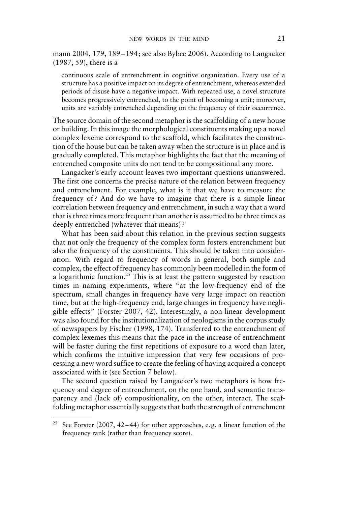mann 2004, 179, 189– 194; see also Bybee 2006). According to Langacker (1987, 59), there is a

continuous scale of entrenchment in cognitive organization. Every use of a structure has a positive impact on its degree of entrenchment, whereas extended periods of disuse have a negative impact. With repeated use, a novel structure becomes progressively entrenched, to the point of becoming a unit; moreover, units are variably entrenched depending on the frequency of their occurrence.

The source domain of the second metaphor is the scaffolding of a new house or building. In this image the morphological constituents making up a novel complex lexeme correspond to the scaffold, which facilitates the construction of the house but can be taken away when the structure is in place and is gradually completed. This metaphor highlights the fact that the meaning of entrenched composite units do not tend to be compositional any more.

Langacker's early account leaves two important questions unanswered. The first one concerns the precise nature of the relation between frequency and entrenchment. For example, what is it that we have to measure the frequency of ? And do we have to imagine that there is a simple linear correlation between frequency and entrenchment, in such a way that a word that is three times more frequent than another is assumed to be three times as deeply entrenched (whatever that means)?

What has been said about this relation in the previous section suggests that not only the frequency of the complex form fosters entrenchment but also the frequency of the constituents. This should be taken into consideration. With regard to frequency of words in general, both simple and complex, the effect of frequency has commonly been modelled in the form of a logarithmic function.<sup>25</sup> This is at least the pattern suggested by reaction times in naming experiments, where "at the low-frequency end of the spectrum, small changes in frequency have very large impact on reaction time, but at the high-frequency end, large changes in frequency have negligible effects" (Forster 2007, 42). Interestingly, a non-linear development was also found for the institutionalization of neologisms in the corpus study of newspapers by Fischer (1998, 174). Transferred to the entrenchment of complex lexemes this means that the pace in the increase of entrenchment will be faster during the first repetitions of exposure to a word than later, which confirms the intuitive impression that very few occasions of processing a new word suffice to create the feeling of having acquired a concept associated with it (see Section 7 below).

The second question raised by Langacker's two metaphors is how frequency and degree of entrenchment, on the one hand, and semantic transparency and (lack of) compositionality, on the other, interact. The scaffolding metaphor essentially suggests that both the strength of entrenchment

<sup>&</sup>lt;sup>25</sup> See Forster (2007, 42–44) for other approaches, e.g. a linear function of the frequency rank (rather than frequency score).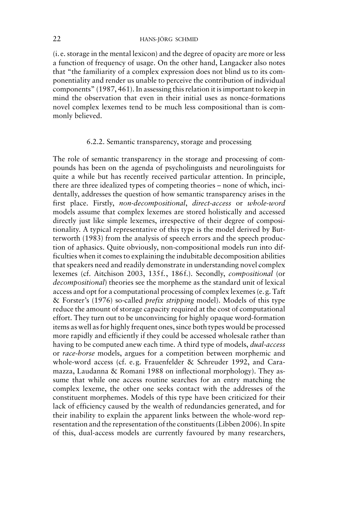(i. e. storage in the mental lexicon) and the degree of opacity are more or less a function of frequency of usage. On the other hand, Langacker also notes that "the familiarity of a complex expression does not blind us to its componentiality and render us unable to perceive the contribution of individual components" (1987, 461). In assessing thisrelation it isimportant to keep in mind the observation that even in their initial uses as nonce-formations novel complex lexemes tend to be much less compositional than is commonly believed.

## 6.2.2. Semantic transparency, storage and processing

The role of semantic transparency in the storage and processing of compounds has been on the agenda of psycholinguists and neurolinguists for quite a while but has recently received particular attention. In principle, there are three idealized types of competing theories – none of which, incidentally, addresses the question of how semantic transparency arises in the first place. Firstly, non-decompositional, direct-access or whole-word models assume that complex lexemes are stored holistically and accessed directly just like simple lexemes, irrespective of their degree of compositionality. A typical representative of this type is the model derived by Butterworth (1983) from the analysis of speech errors and the speech production of aphasics. Quite obviously, non-compositional models run into difficulties when it comesto explaining the indubitable decomposition abilities that speakers need and readily demonstrate in understanding novel complex lexemes (cf. Aitchison 2003, 135f., 186f.). Secondly, compositional (or decompositional) theories see the morpheme as the standard unit of lexical access and opt for a computational processing of complex lexemes(e. g. Taft & Forster's (1976) so-called prefix stripping model). Models of this type reduce the amount of storage capacity required at the cost of computational effort. They turn out to be unconvincing for highly opaque word-formation items as well as for highly frequent ones, since both types would be processed more rapidly and efficiently if they could be accessed wholesale rather than having to be computed anew each time. A third type of models, dual-access or race-horse models, argues for a competition between morphemic and whole-word access (cf. e.g. Frauenfelder & Schreuder 1992, and Caramazza, Laudanna & Romani 1988 on inflectional morphology). They assume that while one access routine searches for an entry matching the complex lexeme, the other one seeks contact with the addresses of the constituent morphemes. Models of this type have been criticized for their lack of efficiency caused by the wealth of redundancies generated, and for their inability to explain the apparent links between the whole-word representation and the representation of the constituents (Libben 2006). In spite of this, dual-access models are currently favoured by many researchers,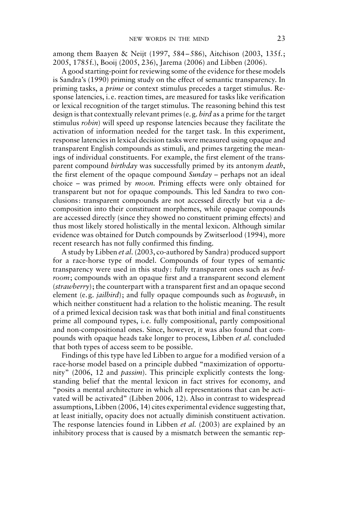among them Baayen & Neijt (1997, 584-586), Aitchison (2003, 135f.; 2005, 1785f.), Booij (2005, 236), Jarema (2006) and Libben (2006).

A good starting-point for reviewing some of the evidence for these models is Sandra's (1990) priming study on the effect of semantic transparency. In priming tasks, a prime or context stimulus precedes a target stimulus. Response latencies, i. e. reaction times, are measured for tasks like verification or lexical recognition of the target stimulus. The reasoning behind this test design is that contextually relevant primes (e.g. *bird* as a prime for the target stimulus robin) will speed up response latencies because they facilitate the activation of information needed for the target task. In this experiment, response latencies in lexical decision tasks were measured using opaque and transparent English compounds as stimuli, and primes targeting the meanings of individual constituents. For example, the first element of the transparent compound *birthday* was successfully primed by its antonym *death*, the first element of the opaque compound  $Sunday$  – perhaps not an ideal choice – was primed by moon. Priming effects were only obtained for transparent but not for opaque compounds. This led Sandra to two conclusions: transparent compounds are not accessed directly but via a decomposition into their constituent morphemes, while opaque compounds are accessed directly (since they showed no constituent priming effects) and thus most likely stored holistically in the mental lexicon. Although similar evidence was obtained for Dutch compounds by Zwitserlood (1994), more recent research has not fully confirmed this finding.

A study by Libben et al. (2003, co-authored by Sandra) produced support for a race-horse type of model. Compounds of four types of semantic transparency were used in this study: fully transparent ones such as bedroom; compounds with an opaque first and a transparent second element (strawberry); the counterpart with a transparent first and an opaque second element (e.g. *jailbird*); and fully opaque compounds such as *hogwash*, in which neither constituent had a relation to the holistic meaning. The result of a primed lexical decision task was that both initial and final constituents prime all compound types, i. e. fully compositional, partly compositional and non-compositional ones. Since, however, it was also found that compounds with opaque heads take longer to process, Libben et al. concluded that both types of access seem to be possible.

Findings of this type have led Libben to argue for a modified version of a race-horse model based on a principle dubbed "maximization of opportunity" (2006, 12 and *passim*). This principle explicitly contests the longstanding belief that the mental lexicon in fact strives for economy, and "posits a mental architecture in which all representations that can be activated will be activated" (Libben 2006, 12). Also in contrast to widespread assumptions, Libben (2006, 14) cites experimental evidence suggesting that, at least initially, opacity does not actually diminish constituent activation. The response latencies found in Libben *et al.* (2003) are explained by an inhibitory process that is caused by a mismatch between the semantic rep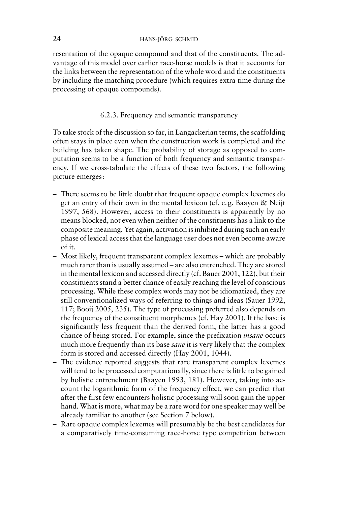resentation of the opaque compound and that of the constituents. The advantage of this model over earlier race-horse models is that it accounts for the links between the representation of the whole word and the constituents by including the matching procedure (which requires extra time during the processing of opaque compounds).

6.2.3. Frequency and semantic transparency

To take stock of the discussion so far, in Langackerian terms, the scaffolding often stays in place even when the construction work is completed and the building has taken shape. The probability of storage as opposed to computation seems to be a function of both frequency and semantic transparency. If we cross-tabulate the effects of these two factors, the following picture emerges:

- There seems to be little doubt that frequent opaque complex lexemes do get an entry of their own in the mental lexicon (cf. e. g. Baayen & Neijt 1997, 568). However, access to their constituents is apparently by no means blocked, not even when neither of the constituents has a link to the composite meaning. Yet again, activation isinhibited during such an early phase of lexical accessthat the language user does not even become aware of it.
- Most likely, frequent transparent complex lexemes which are probably much rarer than is usually assumed – are also entrenched. They are stored in the mental lexicon and accessed directly (cf. Bauer 2001, 122), but their constituents stand a better chance of easily reaching the level of conscious processing. While these complex words may not be idiomatized, they are still conventionalized ways of referring to things and ideas (Sauer 1992, 117; Booij 2005, 235). The type of processing preferred also depends on the frequency of the constituent morphemes (cf. Hay 2001). If the base is significantly less frequent than the derived form, the latter has a good chance of being stored. For example, since the prefixation insane occurs much more frequently than its base *sane* it is very likely that the complex form is stored and accessed directly (Hay 2001, 1044).
- The evidence reported suggests that rare transparent complex lexemes will tend to be processed computationally, since there is little to be gained by holistic entrenchment (Baayen 1993, 181). However, taking into account the logarithmic form of the frequency effect, we can predict that after the first few encounters holistic processing will soon gain the upper hand. What is more, what may be a rare word for one speaker may well be already familiar to another (see Section 7 below).
- Rare opaque complex lexemes will presumably be the best candidates for a comparatively time-consuming race-horse type competition between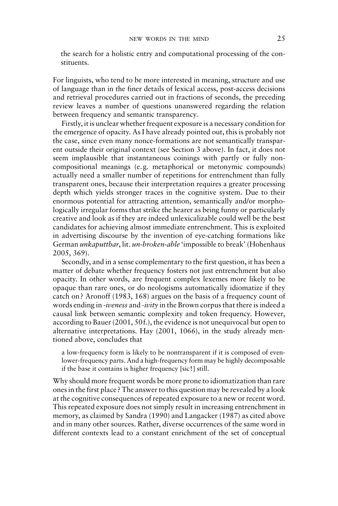the search for a holistic entry and computational processing of the constituents.

For linguists, who tend to be more interested in meaning, structure and use of language than in the finer details of lexical access, post-access decisions and retrieval procedures carried out in fractions of seconds, the preceding review leaves a number of questions unanswered regarding the relation between frequency and semantic transparency.

Firstly, it is unclear whether frequent exposure is a necessary condition for the emergence of opacity. As I have already pointed out, this is probably not the case, since even many nonce-formations are not semantically transparent outside their original context (see Section 3 above). In fact, it does not seem implausible that instantaneous coinings with partly or fully noncompositional meanings (e. g. metaphorical or metonymic compounds) actually need a smaller number of repetitions for entrenchment than fully transparent ones, because their interpretation requires a greater processing depth which yields stronger traces in the cognitive system. Due to their enormous potential for attracting attention, semantically and/or morphologically irregular forms that strike the hearer as being funny or particularly creative and look as if they are indeed unlexicalizable could well be the best candidates for achieving almost immediate entrenchment. This is exploited in advertising discourse by the invention of eye-catching formations like German unkaputtbar, lit. un-broken-able 'impossible to break' (Hohenhaus 2005, 369).

Secondly, and in a sense complementary to the first question, it has been a matter of debate whether frequency fosters not just entrenchment but also opacity. In other words, are frequent complex lexemes more likely to be opaque than rare ones, or do neologisms automatically idiomatize if they catch on? Aronoff (1983, 168) argues on the basis of a frequency count of words ending in -iveness and -ivity in the Brown corpus that there is indeed a causal link between semantic complexity and token frequency. However, according to Bauer (2001, 50f.), the evidence is not unequivocal but open to alternative interpretations. Hay (2001, 1066), in the study already mentioned above, concludes that

a low-frequency form is likely to be nontransparent if it is composed of evenlower-frequency parts. And a high-frequency form may be highly decomposable if the base it contains is higher frequency [sic! ] still.

Why should more frequent words be more prone to idiomatization than rare onesin the first place? The answerto this question may be revealed by a look at the cognitive consequences of repeated exposure to a new or recent word. This repeated exposure does not simply result in increasing entrenchment in memory, as claimed by Sandra (1990) and Langacker (1987) as cited above and in many other sources. Rather, diverse occurrences of the same word in different contexts lead to a constant enrichment of the set of conceptual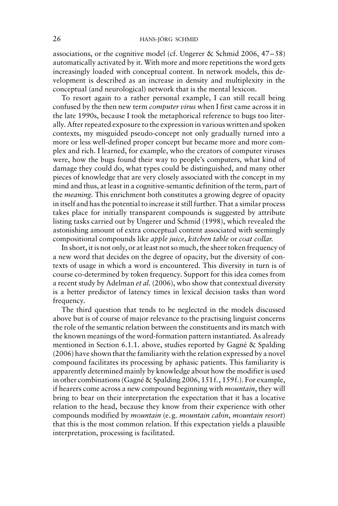associations, or the cognitive model (cf. Ungerer  $\&$  Schmid 2006, 47–58) automatically activated by it. With more and more repetitions the word gets increasingly loaded with conceptual content. In network models, this development is described as an increase in density and multiplexity in the conceptual (and neurological) network that is the mental lexicon.

To resort again to a rather personal example, I can still recall being confused by the then new term *computer virus* when I first came across it in the late 1990s, because I took the metaphorical reference to bugs too literally. After repeated exposure to the expression in various written and spoken contexts, my misguided pseudo-concept not only gradually turned into a more or less well-defined proper concept but became more and more complex and rich. I learned, for example, who the creators of computer viruses were, how the bugs found their way to people's computers, what kind of damage they could do, what types could be distinguished, and many other pieces of knowledge that are very closely associated with the concept in my mind and thus, at least in a cognitive-semantic definition of the term, part of the meaning. This enrichment both constitutes a growing degree of opacity in itself and hasthe potential to increase itstill further. That a similar process takes place for initially transparent compounds is suggested by attribute listing tasks carried out by Ungerer und Schmid (1998), which revealed the astonishing amount of extra conceptual content associated with seemingly compositional compounds like apple juice, kitchen table or coat collar.

In short, it is not only, or at least not so much, the sheer token frequency of a new word that decides on the degree of opacity, but the diversity of contexts of usage in which a word is encountered. This diversity in turn is of course co-determined by token frequency. Support for this idea comes from a recent study by Adelman et al. (2006), who show that contextual diversity is a better predictor of latency times in lexical decision tasks than word frequency.

The third question that tends to be neglected in the models discussed above but is of course of major relevance to the practising linguist concerns the role of the semantic relation between the constituents and its match with the known meanings of the word-formation pattern instantiated. As already mentioned in Section 6.1.1. above, studies reported by Gagné  $\&$  Spalding (2006) have shown that the familiarity with the relation expressed by a novel compound facilitates its processing by aphasic patients. This familiarity is apparently determined mainly by knowledge about how the modifier is used in other combinations (Gagné & Spalding 2006, 151f., 159f.). For example, if hearers come across a new compound beginning with mountain, they will bring to bear on their interpretation the expectation that it has a locative relation to the head, because they know from their experience with other compounds modified by mountain (e. g. mountain cabin, mountain resort) that this is the most common relation. If this expectation yields a plausible interpretation, processing is facilitated.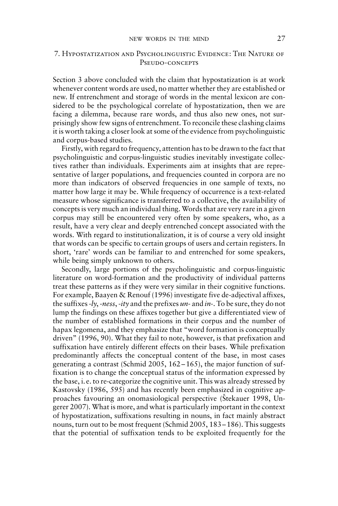## 7. Hypostatization and Psycholinguistic Evidence: The Nature of Pseudo-concepts

Section 3 above concluded with the claim that hypostatization is at work whenever content words are used, no matter whether they are established or new. If entrenchment and storage of words in the mental lexicon are considered to be the psychological correlate of hypostatization, then we are facing a dilemma, because rare words, and thus also new ones, not surprisingly show few signs of entrenchment. To reconcile these clashing claims it is worth taking a closer look at some of the evidence from psycholinguistic and corpus-based studies.

Firstly, with regard to frequency, attention hasto be drawn to the fact that psycholinguistic and corpus-linguistic studies inevitably investigate collectives rather than individuals. Experiments aim at insights that are representative of larger populations, and frequencies counted in corpora are no more than indicators of observed frequencies in one sample of texts, no matter how large it may be. While frequency of occurrence is a text-related measure whose significance is transferred to a collective, the availability of concepts is very much an individual thing. Words that are very rare in a given corpus may still be encountered very often by some speakers, who, as a result, have a very clear and deeply entrenched concept associated with the words. With regard to institutionalization, it is of course a very old insight that words can be specific to certain groups of users and certain registers. In short, 'rare' words can be familiar to and entrenched for some speakers, while being simply unknown to others.

Secondly, large portions of the psycholinguistic and corpus-linguistic literature on word-formation and the productivity of individual patterns treat these patterns as if they were very similar in their cognitive functions. For example, Baayen & Renouf (1996) investigate five de-adjectival affixes, the suffixes -ly, -ness, -ity and the prefixes  $un$ - and  $in$ -. To be sure, they do not lump the findings on these affixes together but give a differentiated view of the number of established formations in their corpus and the number of hapax legomena, and they emphasize that "word formation is conceptually driven" (1996, 90). What they fail to note, however, is that prefixation and suffixation have entirely different effects on their bases. While prefixation predominantly affects the conceptual content of the base, in most cases generating a contrast (Schmid 2005, 162– 165), the major function of suffixation is to change the conceptual status of the information expressed by the base, i. e. to re-categorize the cognitive unit. This was already stressed by Kastovsky (1986, 595) and has recently been emphasized in cognitive approaches favouring an onomasiological perspective (Stekauer 1998, Ungerer 2007). What is more, and what is particularly important in the context of hypostatization, suffixations resulting in nouns, in fact mainly abstract nouns, turn out to be most frequent (Schmid 2005, 183– 186). This suggests that the potential of suffixation tends to be exploited frequently for the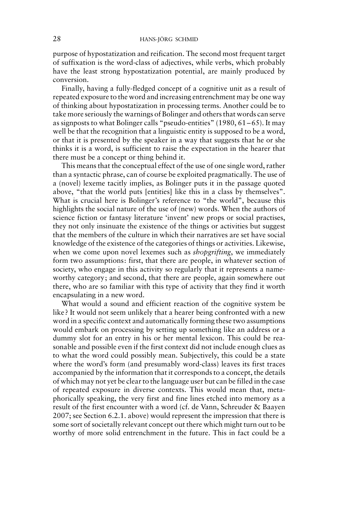purpose of hypostatization and reification. The second most frequent target of suffixation is the word-class of adjectives, while verbs, which probably have the least strong hypostatization potential, are mainly produced by conversion.

Finally, having a fully-fledged concept of a cognitive unit as a result of repeated exposure to the word and increasing entrenchment may be one way of thinking about hypostatization in processing terms. Another could be to take more seriously the warnings of Bolinger and others that words can serve as signposts to what Bolinger calls "pseudo-entities" (1980,  $61-65$ ). It may well be that the recognition that a linguistic entity is supposed to be a word, or that it is presented by the speaker in a way that suggests that he or she thinks it is a word, is sufficient to raise the expectation in the hearer that there must be a concept or thing behind it.

This means that the conceptual effect of the use of one single word, rather than a syntactic phrase, can of course be exploited pragmatically. The use of a (novel) lexeme tacitly implies, as Bolinger puts it in the passage quoted above, "that the world puts [entities] like this in a class by themselves". What is crucial here is Bolinger's reference to "the world", because this highlights the social nature of the use of (new) words. When the authors of science fiction or fantasy literature 'invent' new props or social practises, they not only insinuate the existence of the things or activities but suggest that the members of the culture in which their narratives are set have social knowledge of the existence of the categories of things or activities. Likewise, when we come upon novel lexemes such as *shopgrifting*, we immediately form two assumptions: first, that there are people, in whatever section of society, who engage in this activity so regularly that it represents a nameworthy category; and second, that there are people, again somewhere out there, who are so familiar with this type of activity that they find it worth encapsulating in a new word.

What would a sound and efficient reaction of the cognitive system be like? It would not seem unlikely that a hearer being confronted with a new word in a specific context and automatically forming these two assumptions would embark on processing by setting up something like an address or a dummy slot for an entry in his or her mental lexicon. This could be reasonable and possible even if the first context did not include enough clues as to what the word could possibly mean. Subjectively, this could be a state where the word's form (and presumably word-class) leaves its first traces accompanied by the information that it corresponds to a concept, the details of which may not yet be clearto the language user but can be filled in the case of repeated exposure in diverse contexts. This would mean that, metaphorically speaking, the very first and fine lines etched into memory as a result of the first encounter with a word (cf. de Vann, Schreuder & Baayen 2007; see Section 6.2.1. above) would represent the impression that there is some sort of societally relevant concept out there which might turn out to be worthy of more solid entrenchment in the future. This in fact could be a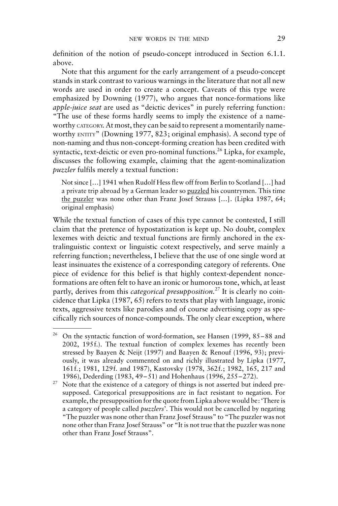definition of the notion of pseudo-concept introduced in Section 6.1.1. above.

Note that this argument for the early arrangement of a pseudo-concept stands in stark contrast to various warnings in the literature that not all new words are used in order to create a concept. Caveats of this type were emphasized by Downing (1977), who argues that nonce-formations like apple-juice seat are used as "deictic devices" in purely referring function: "The use of these forms hardly seems to imply the existence of a nameworthy CATEGORY. At most, they can be said to represent a momentarily nameworthy ENTITY" (Downing 1977, 823; original emphasis). A second type of non-naming and thus non-concept-forming creation has been credited with syntactic, text-deictic or even pro-nominal functions.<sup>26</sup> Lipka, for example, discusses the following example, claiming that the agent-nominalization puzzler fulfils merely a textual function:

Not since […] 1941 when Rudolf Hess flew off from Berlin to Scotland […] had a private trip abroad by a German leader so puzzled his countrymen. This time the puzzler was none other than Franz Josef Strauss […]. (Lipka 1987, 64; original emphasis)

While the textual function of cases of this type cannot be contested, I still claim that the pretence of hypostatization is kept up. No doubt, complex lexemes with deictic and textual functions are firmly anchored in the extralinguistic context or linguistic cotext respectively, and serve mainly a referring function; nevertheless, I believe that the use of one single word at least insinuates the existence of a corresponding category of referents. One piece of evidence for this belief is that highly context-dependent nonceformations are often felt to have an ironic or humorous tone, which, at least partly, derives from this *categorical presupposition*.<sup>27</sup> It is clearly no coincidence that Lipka (1987, 65) refers to texts that play with language, ironic texts, aggressive texts like parodies and of course advertising copy as specifically rich sources of nonce-compounds. The only clear exception, where

<sup>&</sup>lt;sup>26</sup> On the syntactic function of word-formation, see Hansen (1999,  $85-88$  and 2002, 195f.). The textual function of complex lexemes has recently been stressed by Baayen & Neijt (1997) and Baayen & Renouf (1996, 93); previously, it was already commented on and richly illustrated by Lipka (1977, 161f.; 1981, 129f. and 1987), Kastovsky (1978, 362f.; 1982, 165, 217 and 1986), Dederding (1983, 49– 51) and Hohenhaus (1996, 255– 272).

 $27$  Note that the existence of a category of things is not asserted but indeed presupposed. Categorical presuppositions are in fact resistant to negation. For example, the presupposition forthe quote from Lipka above would be: 'There is a category of people called puzzlers'. This would not be cancelled by negating "The puzzler was none other than Franz Josef Strauss" to "The puzzler was not none other than Franz Josef Strauss" or "It is not true that the puzzler was none other than Franz Josef Strauss".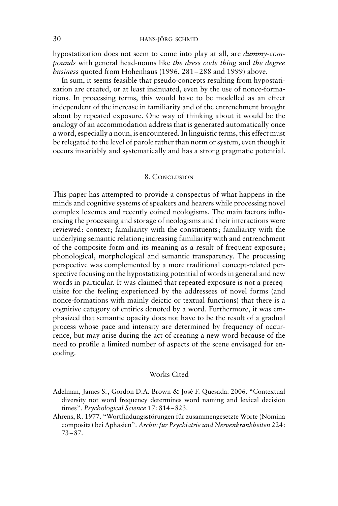hypostatization does not seem to come into play at all, are dummy-compounds with general head-nouns like the dress code thing and the degree business quoted from Hohenhaus (1996, 281-288 and 1999) above.

In sum, it seems feasible that pseudo-concepts resulting from hypostatization are created, or at least insinuated, even by the use of nonce-formations. In processing terms, this would have to be modelled as an effect independent of the increase in familiarity and of the entrenchment brought about by repeated exposure. One way of thinking about it would be the analogy of an accommodation address that is generated automatically once a word, especially a noun, is encountered. In linguistic terms, this effect must be relegated to the level of parole rather than norm or system, even though it occurs invariably and systematically and has a strong pragmatic potential.

#### 8. Conclusion

This paper has attempted to provide a conspectus of what happens in the minds and cognitive systems of speakers and hearers while processing novel complex lexemes and recently coined neologisms. The main factors influencing the processing and storage of neologisms and their interactions were reviewed: context; familiarity with the constituents; familiarity with the underlying semantic relation; increasing familiarity with and entrenchment of the composite form and its meaning as a result of frequent exposure; phonological, morphological and semantic transparency. The processing perspective was complemented by a more traditional concept-related perspective focusing on the hypostatizing potential of words in general and new words in particular. It was claimed that repeated exposure is not a prerequisite for the feeling experienced by the addressees of novel forms (and nonce-formations with mainly deictic or textual functions) that there is a cognitive category of entities denoted by a word. Furthermore, it was emphasized that semantic opacity does not have to be the result of a gradual process whose pace and intensity are determined by frequency of occurrence, but may arise during the act of creating a new word because of the need to profile a limited number of aspects of the scene envisaged for encoding.

## Works Cited

Adelman, James S., Gordon D.A. Brown & José F. Quesada. 2006. "Contextual diversity not word frequency determines word naming and lexical decision times". Psychological Science 17: 814– 823.

Ahrens, R. 1977. "Wortfindungsstörungen für zusammengesetzte Worte (Nomina composita) bei Aphasien". Archiv für Psychiatrie und Nervenkrankheiten 224:  $73 - 87.$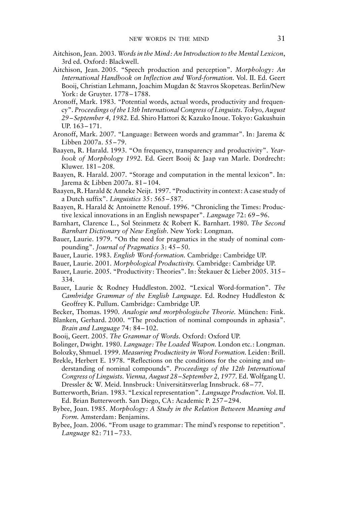- Aitchison, Jean. 2003. Words in the Mind: An Introduction to the Mental Lexicon, 3rd ed. Oxford: Blackwell.
- Aitchison, Jean. 2005. "Speech production and perception". Morphology: An International Handbook on Inflection and Word-formation. Vol. II. Ed. Geert Booij, Christian Lehmann, Joachim Mugdan & Stavros Skopeteas. Berlin/New York: de Gruyter. 1778– 1788.
- Aronoff, Mark. 1983. "Potential words, actual words, productivity and frequency". Proceedings ofthe 13th International Congress ofLinguists. Tokyo, August 29– September 4, 1982. Ed. Shiro Hattori & Kazuko Inoue. Tokyo: Gakushuin UP. 163– 171.
- Aronoff, Mark. 2007. "Language: Between words and grammar". In: Jarema & Libben 2007a. 55– 79.
- Baayen, R. Harald. 1993. "On frequency, transparency and productivity". Yearbook of Morphology 1992. Ed. Geert Booij & Jaap van Marle. Dordrecht: Kluwer. 181-208.
- Baayen, R. Harald. 2007. "Storage and computation in the mental lexicon". In: Jarema & Libben 2007a. 81– 104.
- Baayen, R. Harald & Anneke Neijt. 1997. "Productivity in context: A case study of a Dutch suffix". Linguistics 35: 565– 587.
- Baayen, R. Harald & Antoinette Renouf. 1996. "Chronicling the Times: Productive lexical innovations in an English newspaper". Language 72: 69 –96.
- Barnhart, Clarence L., Sol Steinmetz & Robert K. Barnhart. 1980. The Second Barnhart Dictionary of New English. New York: Longman.
- Bauer, Laurie. 1979. "On the need for pragmatics in the study of nominal compounding". Journal of Pragmatics 3: 45– 50.
- Bauer, Laurie. 1983. English Word-formation. Cambridge: Cambridge UP.
- Bauer, Laurie. 2001. Morphological Productivity. Cambridge: Cambridge UP.
- Bauer, Laurie. 2005. "Productivity: Theories". In: Sˇ tekauer & Lieber 2005. 315– 334.
- Bauer, Laurie & Rodney Huddleston. 2002. "Lexical Word-formation". The Cambridge Grammar of the English Language. Ed. Rodney Huddleston & Geoffrey K. Pullum. Cambridge: Cambridge UP.
- Becker, Thomas. 1990. Analogie und morphologische Theorie. München: Fink.
- Blanken, Gerhard. 2000. "The production of nominal compounds in aphasia". Brain and Language 74: 84-102.
- Booij, Geert. 2005. The Grammar of Words. Oxford: Oxford UP.
- Bolinger, Dwight. 1980. Language: The Loaded Weapon. London etc.: Longman.
- Bolozky, Shmuel. 1999. Measuring Productivity in Word Formation. Leiden: Brill.

Brekle, Herbert E. 1978. "Reflections on the conditions for the coining and understanding of nominal compounds". Proceedings of the 12th International Congress of Linguists. Vienna, August 28– September 2, 1977. Ed. Wolfgang U. Dressler & W. Meid. Innsbruck: Universitätsverlag Innsbruck. 68–77.

- Butterworth, Brian. 1983. "Lexical representation". Language Production. Vol. II. Ed. Brian Butterworth. San Diego, CA: Academic P. 257– 294.
- Bybee, Joan. 1985. Morphology: A Study in the Relation Between Meaning and Form. Amsterdam: Benjamins.
- Bybee, Joan. 2006. "From usage to grammar: The mind's response to repetition". Language 82: 711– 733.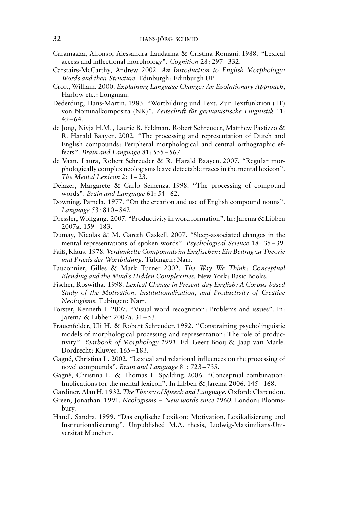- Caramazza, Alfonso, Alessandra Laudanna & Cristina Romani. 1988. "Lexical access and inflectional morphology". Cognition 28: 297– 332.
- Carstairs-McCarthy, Andrew. 2002. An Introduction to English Morphology: Words and their Structure. Edinburgh: Edinburgh UP.
- Croft, William. 2000. Explaining Language Change: An Evolutionary Approach, Harlow etc.: Longman.
- Dederding, Hans-Martin. 1983. "Wortbildung und Text. Zur Textfunktion (TF) von Nominalkomposita (NK)". Zeitschrift für germanistische Linguistik 11:  $49 - 64.$
- de Jong, Nivja H.M., Laurie B. Feldman, Robert Schreuder, Matthew Pastizzo & R. Harald Baayen. 2002. "The processing and representation of Dutch and English compounds: Peripheral morphological and central orthographic effects". Brain and Language 81: 555-567.
- de Vaan, Laura, Robert Schreuder & R. Harald Baayen. 2007. "Regular morphologically complex neologisms leave detectable tracesin the mental lexicon". The Mental Lexicon 2: 1–23.
- Delazer, Margarete & Carlo Semenza. 1998. "The processing of compound words". Brain and Language 61: 54 –62.
- Downing, Pamela. 1977. "On the creation and use of English compound nouns". Language 53: 810– 842.
- Dressler, Wolfgang. 2007. "Productivity in word formation". In: Jarema & Libben 2007a. 159– 183.
- Dumay, Nicolas & M. Gareth Gaskell. 2007. "Sleep-associated changes in the mental representations of spoken words". Psychological Science 18: 35 –39.
- Faiß, Klaus. 1978. Verdunkelte Compoundsim Englischen: Ein Beitrag zu Theorie und Praxis der Wortbildung. Tübingen: Narr.
- Fauconnier, Gilles & Mark Turner. 2002. The Way We Think: Conceptual Blending and the Mind's Hidden Complexities. New York: Basic Books.
- Fischer, Roswitha. 1998. Lexical Change in Present-day English: A Corpus-based Study of the Motivation, Institutionalization, and Productivity of Creative Neologisms. Tübingen: Narr.
- Forster, Kenneth I. 2007. "Visual word recognition: Problems and issues". In: Jarema & Libben 2007a. 31-53.
- Frauenfelder, Uli H. & Robert Schreuder. 1992. "Constraining psycholinguistic models of morphological processing and representation: The role of productivity". Yearbook of Morphology 1991. Ed. Geert Booij & Jaap van Marle. Dordrecht: Kluwer. 165-183.
- Gagné, Christina L. 2002. "Lexical and relational influences on the processing of novel compounds". Brain and Language 81: 723– 735.
- Gagné, Christina L. & Thomas L. Spalding. 2006. "Conceptual combination: Implications for the mental lexicon". In Libben & Jarema 2006. 145– 168.
- Gardiner, Alan H. 1932. The Theory of Speech and Language. Oxford: Clarendon.
- Green, Jonathan. 1991. Neologisms New words since 1960. London: Bloomsbury.
- Handl, Sandra. 1999. "Das englische Lexikon: Motivation, Lexikalisierung und Institutionalisierung". Unpublished M.A. thesis, Ludwig-Maximilians-Universität München.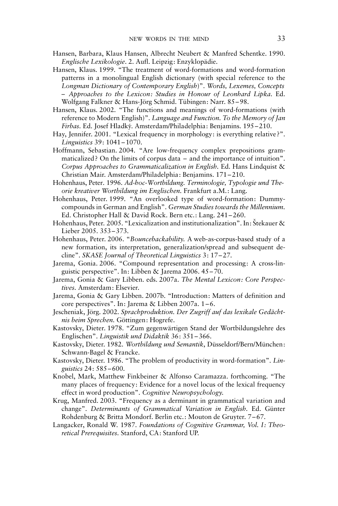- Hansen, Barbara, Klaus Hansen, Albrecht Neubert & Manfred Schentke. 1990. Englische Lexikologie. 2. Aufl. Leipzig: Enzyklopädie.
- Hansen, Klaus. 1999. "The treatment of word-formations and word-formation patterns in a monolingual English dictionary (with special reference to the Longman Dictionary of Contemporary English)". Words, Lexemes, Concepts – Approaches to the Lexicon: Studies in Honour of Leonhard Lipka. Ed. Wolfgang Falkner & Hans-Jörg Schmid. Tübingen: Narr. 85-98.
- Hansen, Klaus. 2002. "The functions and meanings of word-formations (with reference to Modern English)". Language and Function. To the Memory of Jan Firbas. Ed. Josef Hladký. Amsterdam/Philadelphia: Benjamins. 195-210.
- Hay, Jennifer. 2001. "Lexical frequency in morphology: is everything relative?". Linguistics 39: 1041– 1070.
- Hoffmann, Sebastian. 2004. "Are low-frequency complex prepositions grammaticalized? On the limits of corpus data – and the importance of intuition". Corpus Approaches to Grammaticalization in English. Ed. Hans Lindquist & Christian Mair. Amsterdam/Philadelphia: Benjamins. 171– 210.
- Hohenhaus, Peter. 1996. Ad-hoc-Wortbildung. Terminologie, Typologie und Theorie kreativer Wortbildung im Englischen. Frankfurt a.M.: Lang.
- Hohenhaus, Peter. 1999. "An overlooked type of word-formation: Dummycompounds in German and English". German Studies towards the Millennium. Ed. Christopher Hall & David Rock. Bern etc.: Lang. 241– 260.
- Hohenhaus, Peter. 2005. "Lexicalization and institutionalization". In: Sˇ tekauer & Lieber 2005. 353– 373.
- Hohenhaus, Peter. 2006. "Bouncebackability. A web-as-corpus-based study of a new formation, its interpretation, generalization/spread and subsequent decline". SKASE Journal of Theoretical Linguistics 3: 17-27.
- Jarema, Gonia. 2006. "Compound representation and processing: A cross-linguistic perspective". In: Libben & Jarema 2006. 45– 70.
- Jarema, Gonia & Gary Libben. eds. 2007a. The Mental Lexicon: Core Perspectives. Amsterdam: Elsevier.
- Jarema, Gonia & Gary Libben. 2007b. "Introduction: Matters of definition and core perspectives". In: Jarema & Libben 2007a. 1–6.
- Jescheniak, Jörg. 2002. Sprachproduktion. Der Zugriff auf das lexikale Gedächtnis beim Sprechen. Göttingen: Hogrefe.
- Kastovsky, Dieter. 1978. "Zum gegenwärtigen Stand der Wortbildungslehre des Englischen". Linguistik und Didaktik 36: 351– 366.
- Kastovsky, Dieter. 1982. Wortbildung und Semantik, Düsseldorf/Bern/München: Schwann-Bagel & Francke.
- Kastovsky, Dieter. 1986. "The problem of productivity in word-formation". Linguistics 24: 585– 600.
- Knobel, Mark, Matthew Finkbeiner & Alfonso Caramazza. forthcoming. "The many places of frequency: Evidence for a novel locus of the lexical frequency effect in word production". Cognitive Neuropsychology.
- Krug, Manfred. 2003. "Frequency as a derminant in grammatical variation and change". Determinants of Grammatical Variation in English. Ed. Günter Rohdenburg & Britta Mondorf. Berlin etc.: Mouton de Gruyter. 7-67.
- Langacker, Ronald W. 1987. Foundations of Cognitive Grammar, Vol. I: Theoretical Prerequisites. Stanford, CA: Stanford UP.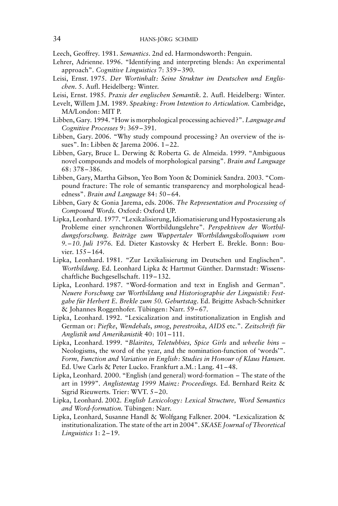Leech, Geoffrey. 1981. Semantics. 2nd ed. Harmondsworth: Penguin.

- Lehrer, Adrienne. 1996. "Identifying and interpreting blends: An experimental approach". Cognitive Linguistics 7: 359– 390.
- Leisi, Ernst. 1975. Der Wortinhalt: Seine Struktur im Deutschen und Englischen. 5. Aufl. Heidelberg: Winter.
- Leisi, Ernst. 1985. Praxis der englischen Semantik. 2. Aufl. Heidelberg: Winter.
- Levelt, Willem J.M. 1989. Speaking: From Intention to Articulation. Cambridge, MA/London: MIT P.
- Libben, Gary. 1994. "How is morphological processing achieved?". Language and Cognitive Processes 9: 369– 391.
- Libben, Gary. 2006. "Why study compound processing? An overview of the issues". In: Libben & Jarema 2006. 1–22.
- Libben, Gary, Bruce L. Derwing & Roberta G. de Almeida. 1999. "Ambiguous novel compounds and models of morphological parsing". Brain and Language 68: 378– 386.
- Libben, Gary, Martha Gibson, Yeo Bom Yoon & Dominiek Sandra. 2003. "Compound fracture: The role of semantic transparency and morphological headedness". Brain and Language 84: 50-64.
- Libben, Gary & Gonia Jarema, eds. 2006. The Representation and Processing of Compound Words. Oxford: Oxford UP.
- Lipka, Leonhard. 1977. "Lexikalisierung, Idiomatisierung und Hypostasierung als Probleme einer synchronen Wortbildungslehre". Perspektiven der Wortbildungsforschung. Beiträge zum Wuppertaler Wortbildungskolloquium vom 9. –10. Juli 1976. Ed. Dieter Kastovsky & Herbert E. Brekle. Bonn: Bouvier. 155– 164.
- Lipka, Leonhard. 1981. "Zur Lexikalisierung im Deutschen und Englischen". Wortbildung. Ed. Leonhard Lipka & Hartmut Günther. Darmstadt: Wissenschaftliche Buchgesellschaft. 119 –132.
- Lipka, Leonhard. 1987. "Word-formation and text in English and German". Neuere Forschung zur Wortbildung und Historiographie der Linguistik: Festgabe für Herbert E. Brekle zum 50. Geburtstag. Ed. Brigitte Asbach-Schnitker & Johannes Roggenhofer. Tübingen: Narr. 59-67.
- Lipka, Leonhard. 1992. "Lexicalization and institutionalization in English and German or: Piefke, Wendehals, smog, perestroika, AIDS etc.". Zeitschrift für Anglistik und Amerikanistik 40: 101– 111.
- Lipka, Leonhard. 1999. "Blairites, Teletubbies, Spice Girls and wheelie bins Neologisms, the word of the year, and the nomination-function of 'words'". Form, Function and Variation in English: Studies in Honour of Klaus Hansen. Ed. Uwe Carls & Peter Lucko. Frankfurt a.M.: Lang. 41– 48.
- Lipka, Leonhard. 2000. "English (and general) word-formation The state of the art in 1999". Anglistentag 1999 Mainz: Proceedings. Ed. Bernhard Reitz & Sigrid Rieuwerts. Trier: WVT. 5–20.
- Lipka, Leonhard. 2002. English Lexicology: Lexical Structure, Word Semantics and Word-formation. Tübingen: Narr.
- Lipka, Leonhard, Susanne Handl & Wolfgang Falkner. 2004. "Lexicalization & institutionalization. The state of the art in 2004". SKASE Journal of Theoretical Linguistics 1: 2–19.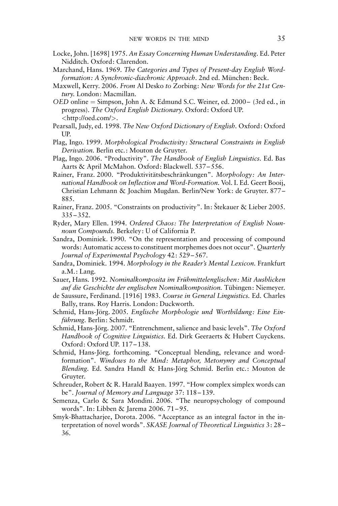- Locke, John. [1698] 1975. An Essay Concerning Human Understanding. Ed. Peter Nidditch. Oxford: Clarendon.
- Marchand, Hans. 1969. The Categories and Types of Present-day English Wordformation: A Synchronic-diachronic Approach. 2nd ed. München: Beck.
- Maxwell, Kerry. 2006. From Al Desko to Zorbing: New Words for the 21st Century. London: Macmillan.
- OED online = Simpson, John A. & Edmund S.C. Weiner, ed. 2000– (3rd ed., in progress). The Oxford English Dictionary. Oxford: Oxford UP. <http://oed.com/>.
- Pearsall, Judy, ed. 1998. The New Oxford Dictionary of English. Oxford: Oxford UP.
- Plag, Ingo. 1999. Morphological Productivity: Structural Constraints in English Derivation. Berlin etc.: Mouton de Gruyter.
- Plag, Ingo. 2006. "Productivity". The Handbook of English Linguistics. Ed. Bas Aarts & April McMahon. Oxford: Blackwell. 537– 556.
- Rainer, Franz. 2000. "Produktivitätsbeschränkungen". Morphology: An International Handbook on Inflection and Word-Formation. Vol. I. Ed. Geert Booij, Christian Lehmann & Joachim Mugdan. Berlin/New York: de Gruyter. 877– 885.
- Rainer, Franz. 2005. "Constraints on productivity". In: Štekauer & Lieber 2005. 335– 352.
- Ryder, Mary Ellen. 1994. Ordered Chaos: The Interpretation of English Nounnoun Compounds. Berkeley: U of California P.
- Sandra, Dominiek. 1990. "On the representation and processing of compound words: Automatic access to constituent morphemes does not occur". Quarterly Journal of Experimental Psychology 42: 529– 567.
- Sandra, Dominiek. 1994. Morphology in the Reader's Mental Lexicon. Frankfurt a.M.: Lang.
- Sauer, Hans. 1992. Nominalkomposita im Frühmittelenglischen: Mit Ausblicken auf die Geschichte der englischen Nominalkomposition. Tübingen: Niemeyer.
- de Saussure, Ferdinand. [1916] 1983. Course in General Linguistics. Ed. Charles Bally, trans. Roy Harris. London: Duckworth.
- Schmid, Hans-Jörg. 2005. Englische Morphologie und Wortbildung: Eine Einführung. Berlin: Schmidt.
- Schmid, Hans-Jörg. 2007. "Entrenchment, salience and basic levels". The Oxford Handbook of Cognitive Linguistics. Ed. Dirk Geeraerts & Hubert Cuyckens. Oxford: Oxford UP. 117– 138.
- Schmid, Hans-Jörg. forthcoming. "Conceptual blending, relevance and wordformation". Windows to the Mind: Metaphor, Metonymy and Conceptual Blending. Ed. Sandra Handl & Hans-Jörg Schmid. Berlin etc.: Mouton de Gruyter.
- Schreuder, Robert & R. Harald Baayen. 1997. "How complex simplex words can be". Journal of Memory and Language 37: 118– 139.
- Semenza, Carlo & Sara Mondini. 2006. "The neuropsychology of compound words". In: Libben & Jarema 2006. 71– 95.
- Smyk-Bhattacharjee, Dorota. 2006. "Acceptance as an integral factor in the interpretation of novel words". SKASE Journal of Theoretical Linguistics 3: 28– 36.